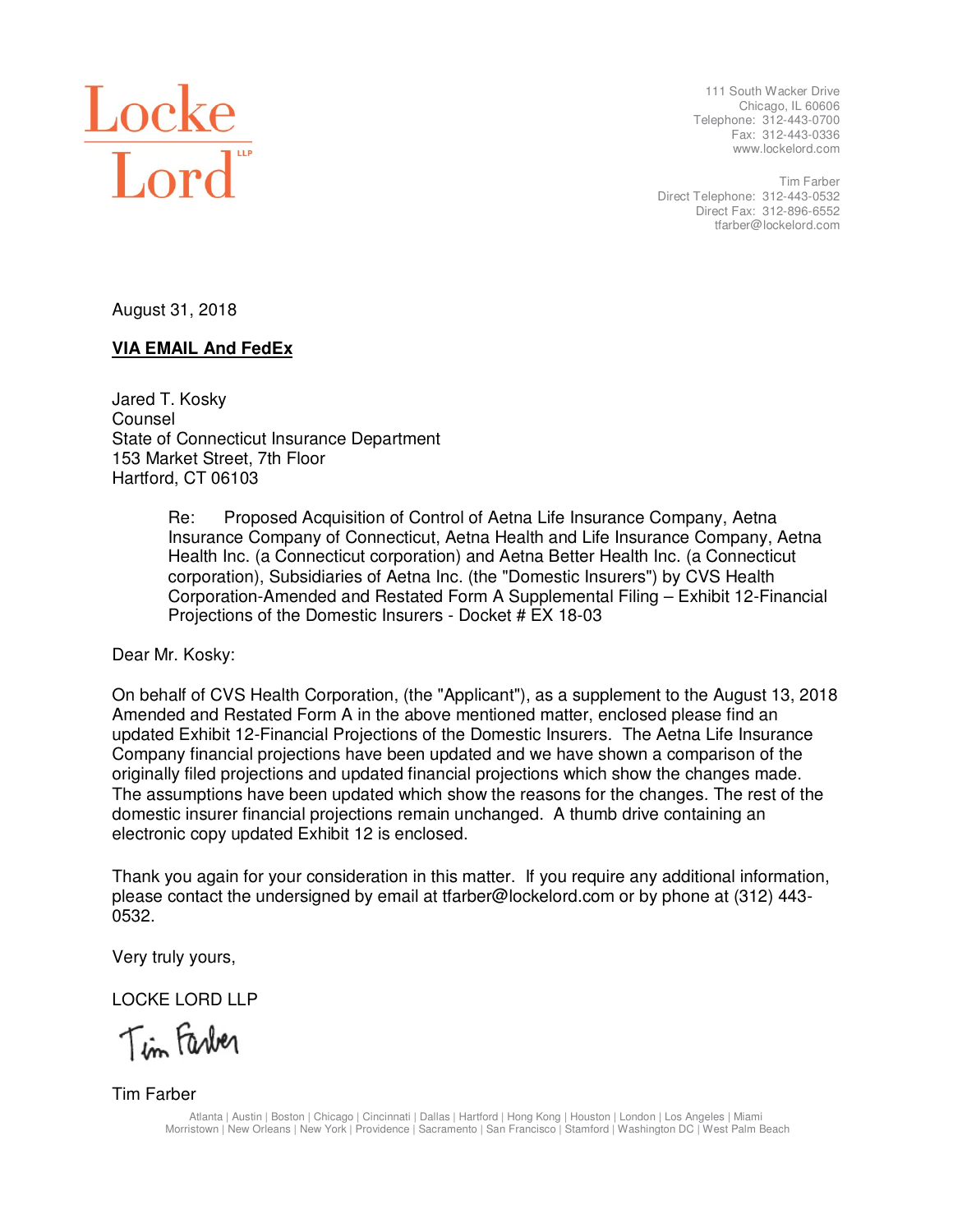

 111 South Wacker Drive Chicago, IL 60606 Telephone: 312-443-0700 Fax: 312-443-0336 www.lockelord.com

 Direct Telephone: 312-443-0532 Direct Fax: 312-896-6552 Tim Farber tfarber@lockelord.com

August 31, 2018

## **VIA EMAIL And FedEx**

 Jared T. Kosky State of Connecticut Insurance Department 153 Market Street, 7th Floor Hartford, CT 06103 Counsel

> Re: Proposed Acquisition of Control of Aetna Life Insurance Company, Aetna Insurance Company of Connecticut, Aetna Health and Life Insurance Company, Aetna Health Inc. (a Connecticut corporation) and Aetna Better Health Inc. (a Connecticut corporation), Subsidiaries of Aetna Inc. (the "Domestic Insurers") by CVS Health Corporation-Amended and Restated Form A Supplemental Filing – Exhibit 12-Financial Projections of the Domestic Insurers - Docket # EX 18-03

Dear Mr. Kosky:

 On behalf of CVS Health Corporation, (the "Applicant"), as a supplement to the August 13, 2018 Amended and Restated Form A in the above mentioned matter, enclosed please find an updated Exhibit 12-Financial Projections of the Domestic Insurers. The Aetna Life Insurance Company financial projections have been updated and we have shown a comparison of the originally filed projections and updated financial projections which show the changes made. The assumptions have been updated which show the reasons for the changes. The rest of the domestic insurer financial projections remain unchanged. A thumb drive containing an electronic copy updated Exhibit 12 is enclosed.

 Thank you again for your consideration in this matter. If you require any additional information, please contact the undersigned by email at tfarber@lockelord.com or by phone at (312) 443- 0532.

Very truly yours,

LOCKE LORD LLP

Tim Farber

Tim Farber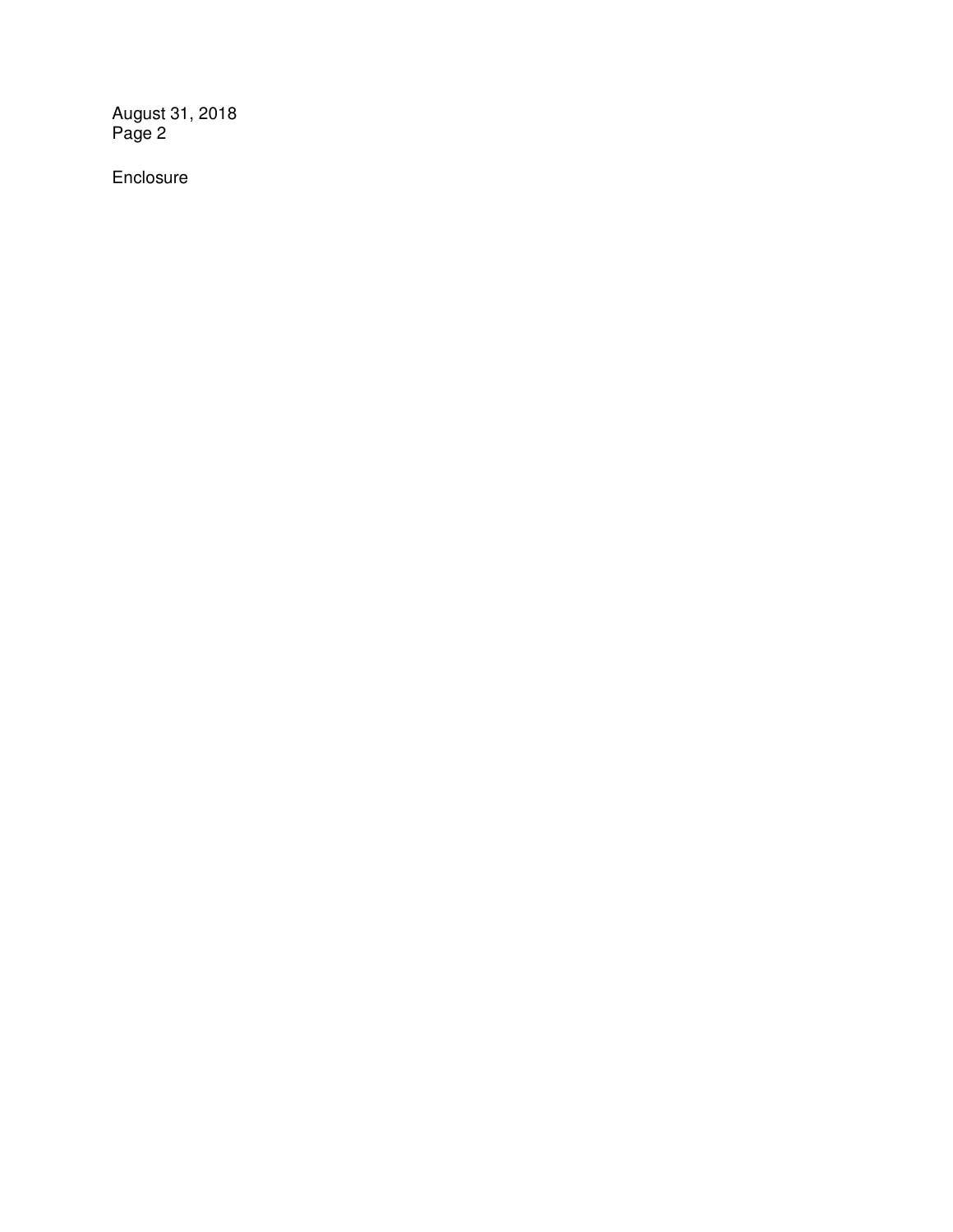August 31, 2018 Page 2

Enclosure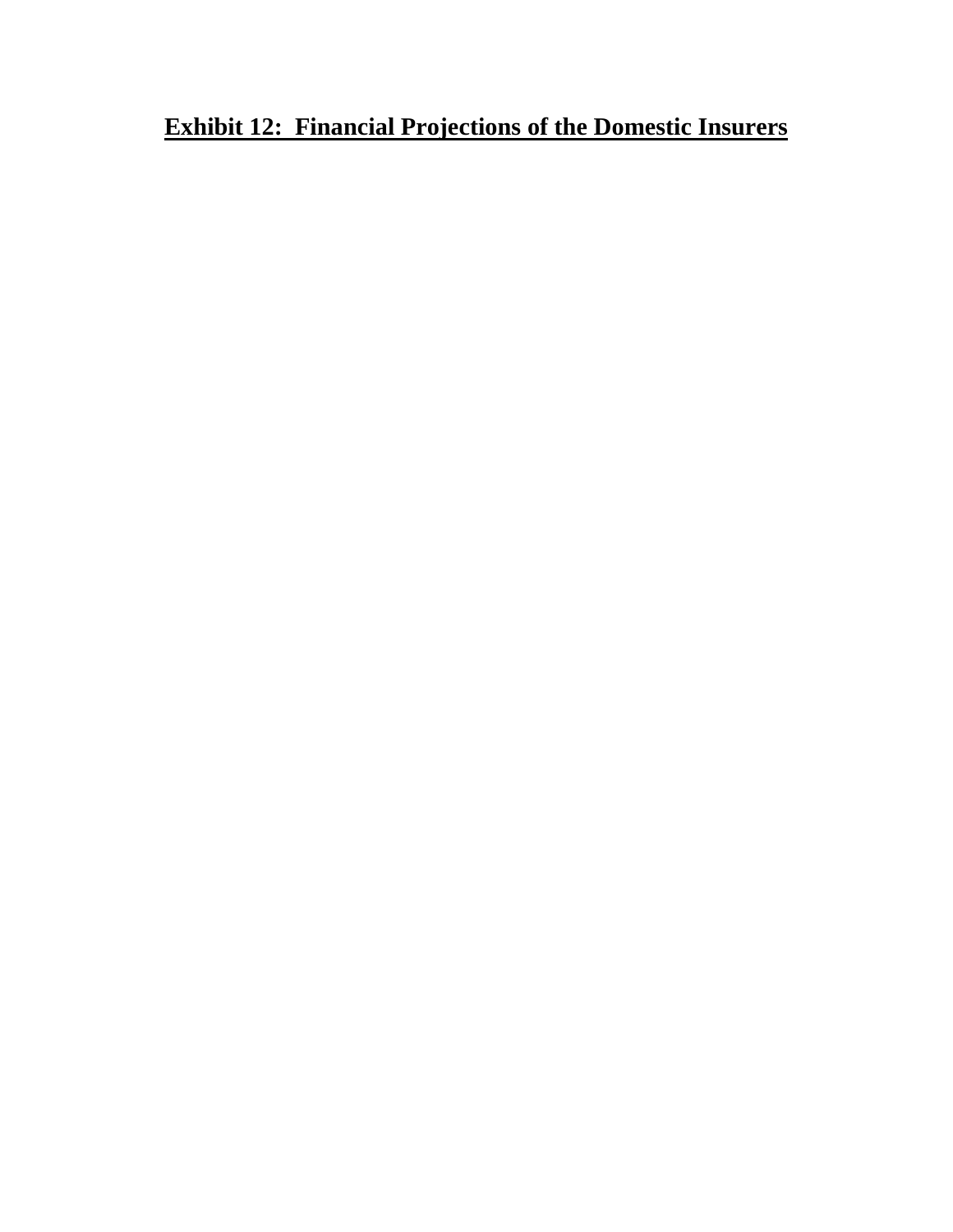# **Exhibit 12: Financial Projections of the Domestic Insurers**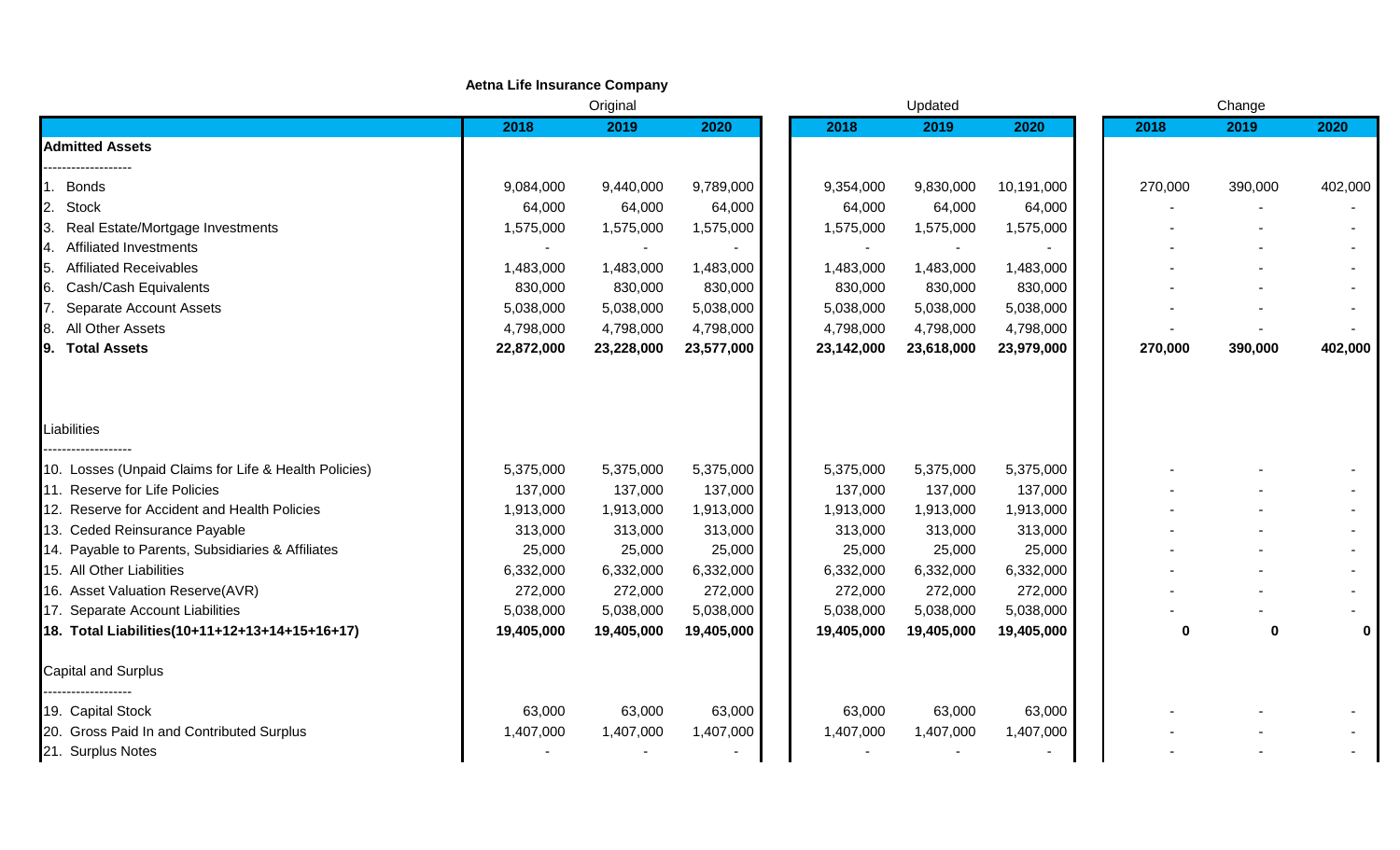|                                                       | <b>Aetna Life Insurance Company</b> |                |            |            |            |            |         |          |             |
|-------------------------------------------------------|-------------------------------------|----------------|------------|------------|------------|------------|---------|----------|-------------|
|                                                       |                                     | Original       |            |            | Updated    |            |         | Change   |             |
|                                                       | 2018                                | 2019           | 2020       | 2018       | 2019       | 2020       | 2018    | 2019     | 2020        |
| <b>Admitted Assets</b>                                |                                     |                |            |            |            |            |         |          |             |
| .<br>1. Bonds                                         | 9,084,000                           | 9,440,000      | 9,789,000  | 9,354,000  | 9,830,000  | 10,191,000 | 270,000 | 390,000  | 402,000     |
| <b>Stock</b>                                          | 64,000                              | 64,000         | 64,000     | 64,000     | 64,000     | 64,000     |         |          |             |
| Real Estate/Mortgage Investments                      | 1,575,000                           | 1,575,000      | 1,575,000  | 1,575,000  | 1,575,000  | 1,575,000  |         |          |             |
| <b>Affiliated Investments</b><br>14.                  |                                     | $\blacksquare$ |            |            | $\sim$     |            |         |          |             |
| <b>Affiliated Receivables</b><br>15.                  | 1,483,000                           | 1,483,000      | 1,483,000  | 1,483,000  | 1,483,000  | 1,483,000  |         |          |             |
| Cash/Cash Equivalents<br>I6.                          | 830,000                             | 830,000        | 830,000    | 830,000    | 830,000    | 830,000    |         |          |             |
| Separate Account Assets                               | 5,038,000                           | 5,038,000      | 5,038,000  | 5,038,000  | 5,038,000  | 5,038,000  |         |          |             |
| All Other Assets<br>8.                                | 4,798,000                           | 4,798,000      | 4,798,000  | 4,798,000  | 4,798,000  | 4,798,000  |         |          |             |
| 9. Total Assets                                       | 22,872,000                          | 23,228,000     | 23,577,000 | 23,142,000 | 23,618,000 | 23,979,000 | 270,000 | 390,000  | 402,000     |
| Liabilities                                           |                                     |                |            |            |            |            |         |          |             |
| 10. Losses (Unpaid Claims for Life & Health Policies) | 5,375,000                           | 5,375,000      | 5,375,000  | 5,375,000  | 5,375,000  | 5,375,000  |         |          |             |
| 11. Reserve for Life Policies                         | 137,000                             | 137,000        | 137,000    | 137,000    | 137,000    | 137,000    |         |          |             |
| 12. Reserve for Accident and Health Policies          | 1,913,000                           | 1,913,000      | 1,913,000  | 1,913,000  | 1,913,000  | 1,913,000  |         |          |             |
| 13. Ceded Reinsurance Payable                         | 313,000                             | 313,000        | 313,000    | 313,000    | 313,000    | 313,000    |         |          |             |
| 14. Payable to Parents, Subsidiaries & Affiliates     | 25,000                              | 25,000         | 25,000     | 25,000     | 25,000     | 25,000     |         |          |             |
| 15. All Other Liabilities                             | 6,332,000                           | 6,332,000      | 6,332,000  | 6,332,000  | 6,332,000  | 6,332,000  |         |          |             |
| 16. Asset Valuation Reserve(AVR)                      | 272,000                             | 272,000        | 272,000    | 272,000    | 272,000    | 272,000    |         |          |             |
| 17. Separate Account Liabilities                      | 5,038,000                           | 5,038,000      | 5,038,000  | 5,038,000  | 5,038,000  | 5,038,000  |         |          |             |
| 18. Total Liabilities(10+11+12+13+14+15+16+17)        | 19,405,000                          | 19,405,000     | 19,405,000 | 19,405,000 | 19,405,000 | 19,405,000 | 0       | $\bf{0}$ | $\mathbf 0$ |
| <b>Capital and Surplus</b>                            |                                     |                |            |            |            |            |         |          |             |
| 19. Capital Stock                                     | 63,000                              | 63,000         | 63,000     | 63,000     | 63,000     | 63,000     |         |          |             |
| 20. Gross Paid In and Contributed Surplus             | 1,407,000                           | 1,407,000      | 1,407,000  | 1,407,000  | 1,407,000  | 1,407,000  |         |          |             |
| 21. Surplus Notes                                     |                                     |                |            |            | $\sim$     |            |         |          |             |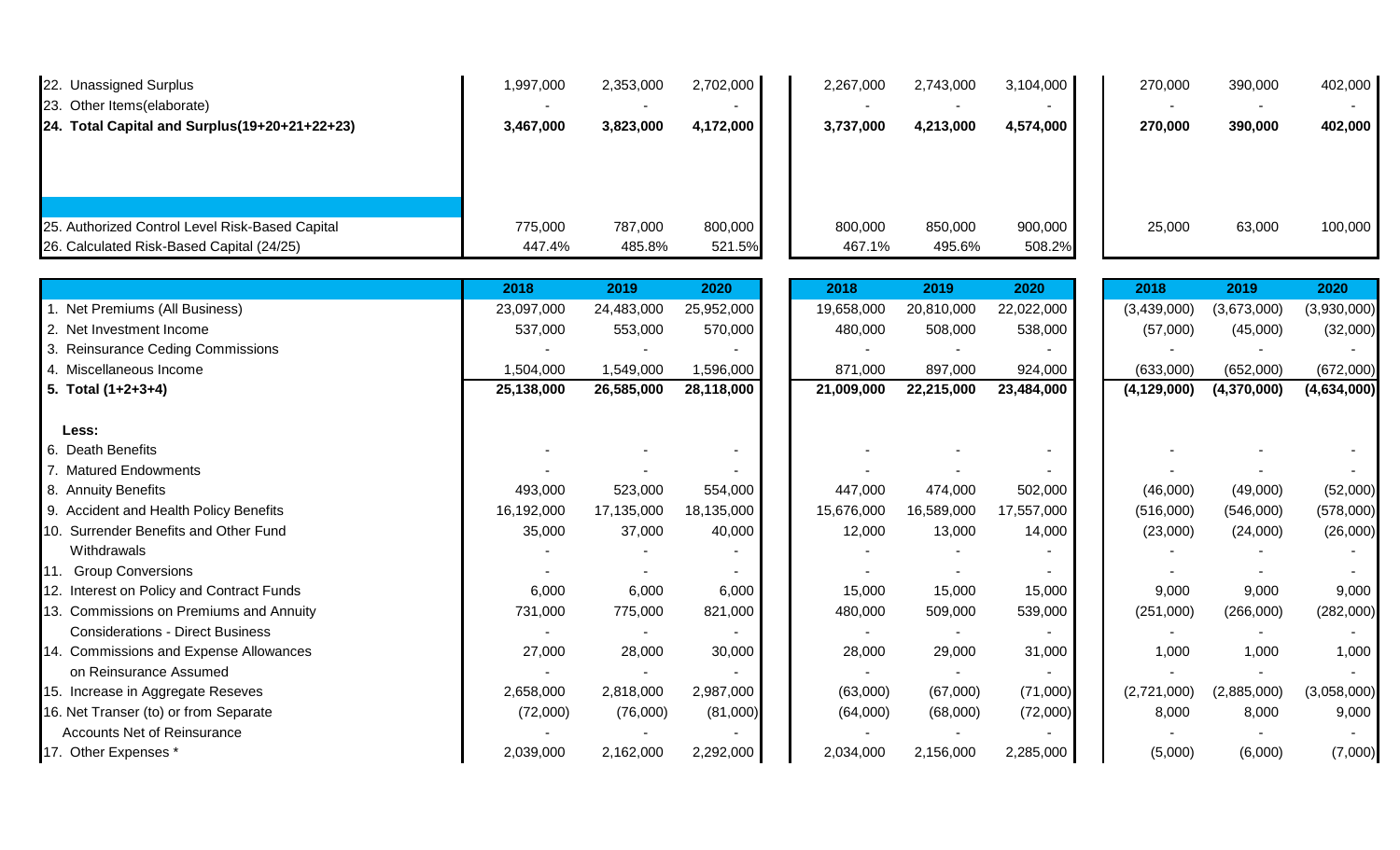| 22. Unassigned Surplus<br>23. Other Items(elaborate)                                         | 1,997,000         | 2,353,000         | 2,702,000         | 2,267,000         | 2,743,000         | 3,104,000         | 270,000       | 390,000     | 402,000     |
|----------------------------------------------------------------------------------------------|-------------------|-------------------|-------------------|-------------------|-------------------|-------------------|---------------|-------------|-------------|
| 24. Total Capital and Surplus(19+20+21+22+23)                                                | 3,467,000         | 3,823,000         | 4,172,000         | 3,737,000         | 4,213,000         | 4,574,000         | 270,000       | 390,000     | 402,000     |
|                                                                                              |                   |                   |                   |                   |                   |                   |               |             |             |
| 25. Authorized Control Level Risk-Based Capital<br>26. Calculated Risk-Based Capital (24/25) | 775,000<br>447.4% | 787,000<br>485.8% | 800,000<br>521.5% | 800,000<br>467.1% | 850,000<br>495.6% | 900,000<br>508.2% | 25,000        | 63,000      | 100,000     |
|                                                                                              |                   |                   |                   |                   |                   |                   |               |             |             |
|                                                                                              | 2018              | 2019              | 2020              | 2018              | 2019              | 2020              | 2018          | 2019        | 2020        |
| 1. Net Premiums (All Business)                                                               | 23,097,000        | 24,483,000        | 25,952,000        | 19,658,000        | 20,810,000        | 22,022,000        | (3,439,000)   | (3,673,000) | (3,930,000) |
| 2. Net Investment Income                                                                     | 537,000           | 553,000           | 570,000           | 480,000           | 508,000           | 538,000           | (57,000)      | (45,000)    | (32,000)    |
| 3. Reinsurance Ceding Commissions                                                            |                   |                   |                   |                   |                   |                   |               |             |             |
| 4. Miscellaneous Income                                                                      | 1,504,000         | 1,549,000         | 1,596,000         | 871,000           | 897,000           | 924,000           | (633,000)     | (652,000)   | (672,000)   |
| 5. Total (1+2+3+4)                                                                           | 25,138,000        | 26,585,000        | 28,118,000        | 21,009,000        | 22,215,000        | 23,484,000        | (4, 129, 000) | (4,370,000) | (4,634,000) |
| Less:                                                                                        |                   |                   |                   |                   |                   |                   |               |             |             |
| 6. Death Benefits                                                                            |                   |                   |                   |                   |                   |                   |               |             |             |
| 7. Matured Endowments                                                                        |                   |                   |                   |                   |                   |                   |               |             |             |
| 8. Annuity Benefits                                                                          | 493,000           | 523,000           | 554,000           | 447,000           | 474,000           | 502,000           | (46,000)      | (49,000)    | (52,000)    |
| 9. Accident and Health Policy Benefits                                                       | 16,192,000        | 17,135,000        | 18,135,000        | 15,676,000        | 16,589,000        | 17,557,000        | (516,000)     | (546,000)   | (578,000)   |
| 10. Surrender Benefits and Other Fund                                                        | 35,000            | 37,000            | 40,000            | 12,000            | 13,000            | 14,000            | (23,000)      | (24,000)    | (26,000)    |
| Withdrawals                                                                                  |                   |                   |                   |                   |                   |                   |               |             |             |
| 11. Group Conversions                                                                        |                   |                   |                   |                   |                   |                   |               |             |             |
| 12. Interest on Policy and Contract Funds                                                    | 6,000             | 6,000             | 6,000             | 15,000            | 15,000            | 15,000            | 9,000         | 9,000       | 9,000       |
| 13. Commissions on Premiums and Annuity                                                      | 731,000           | 775,000           | 821,000           | 480,000           | 509,000           | 539,000           | (251,000)     | (266,000)   | (282,000)   |
| <b>Considerations - Direct Business</b>                                                      |                   |                   |                   |                   |                   |                   |               |             |             |
| 14. Commissions and Expense Allowances                                                       | 27,000            | 28,000            | 30,000            | 28,000            | 29,000            | 31,000            | 1,000         | 1,000       | 1,000       |
| on Reinsurance Assumed                                                                       |                   |                   |                   |                   |                   |                   |               |             |             |
| 15. Increase in Aggregate Reseves                                                            | 2,658,000         | 2,818,000         | 2,987,000         | (63,000)          | (67,000)          | (71,000)          | (2,721,000)   | (2,885,000) | (3,058,000) |
| 16. Net Transer (to) or from Separate                                                        | (72,000)          | (76,000)          | (81,000)          | (64,000)          | (68,000)          | (72,000)          | 8,000         | 8,000       | 9,000       |
| <b>Accounts Net of Reinsurance</b>                                                           |                   |                   |                   |                   |                   |                   |               |             |             |
| 17. Other Expenses *                                                                         | 2,039,000         | 2,162,000         | 2,292,000         | 2,034,000         | 2,156,000         | 2,285,000         | (5,000)       | (6,000)     | (7,000)     |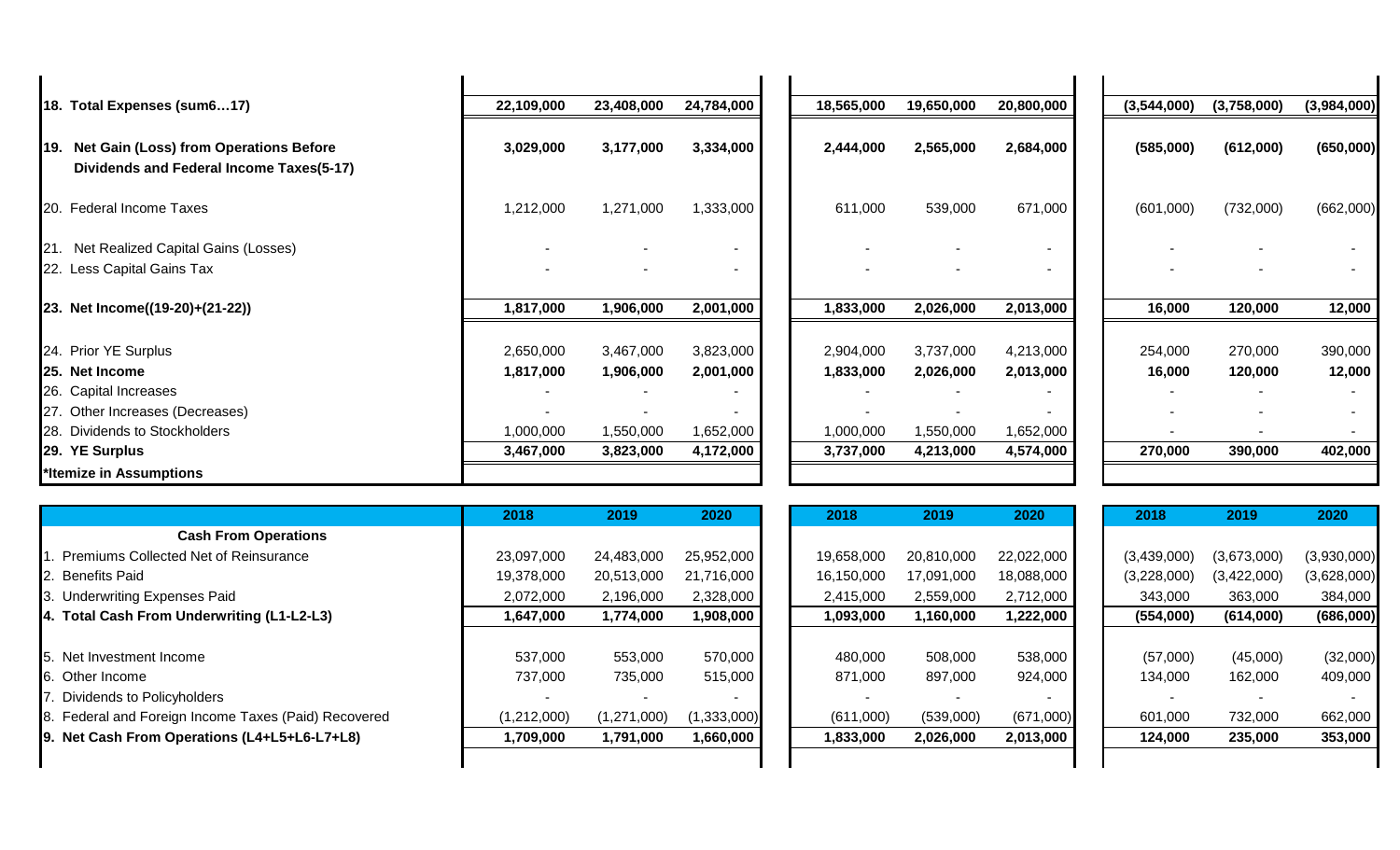| 24,784,000<br>18,565,000<br>19,650,000<br>20,800,000<br>(3,544,000)<br>(3,758,000)<br>18. Total Expenses (sum617)<br>22,109,000<br>23,408,000<br>19. Net Gain (Loss) from Operations Before<br>3,177,000<br>3,334,000<br>2,444,000<br>2,565,000<br>2,684,000<br>(585,000)<br>3,029,000<br>(612,000)<br>Dividends and Federal Income Taxes(5-17)<br>20. Federal Income Taxes<br>1,212,000<br>1,271,000<br>1,333,000<br>611,000<br>539,000<br>671,000<br>(601,000)<br>(732,000)<br>21. Net Realized Capital Gains (Losses)<br>22. Less Capital Gains Tax<br>1,817,000<br>1,906,000<br>2,001,000<br>1,833,000<br>2,026,000<br>2,013,000<br>120,000<br>23. Net Income((19-20)+(21-22))<br>16,000<br>24. Prior YE Surplus<br>3,467,000<br>3,823,000<br>2,904,000<br>3,737,000<br>4,213,000<br>270,000<br>2,650,000<br>254,000<br>25. Net Income<br>16,000<br>120,000<br>1,817,000<br>2,001,000<br>1,833,000<br>2,026,000<br>2,013,000<br>1,906,000<br>26. Capital Increases<br>27. Other Increases (Decreases)<br>28. Dividends to Stockholders<br>1,000,000<br>1,550,000<br>1,652,000<br>1,000,000<br>1,550,000<br>1,652,000<br>390,000<br>29. YE Surplus<br>270,000<br>3,823,000<br>4,172,000<br>3,737,000<br>4,213,000<br>4,574,000<br>3,467,000<br>*Itemize in Assumptions<br>2018<br>2018<br>2019<br>2020<br>2018<br>2019<br>2020<br>2019<br><b>Cash From Operations</b><br>Premiums Collected Net of Reinsurance<br>25,952,000<br>20,810,000<br>22,022,000<br>23,097,000<br>24,483,000<br>19,658,000<br>(3,439,000)<br>(3,673,000)<br>21,716,000<br><b>Benefits Paid</b><br>19,378,000<br>20,513,000<br>16,150,000<br>17,091,000<br>18,088,000<br>(3,228,000)<br>(3,422,000)<br>3. Underwriting Expenses Paid<br>2,072,000<br>2,196,000<br>2,328,000<br>2,415,000<br>2,559,000<br>2,712,000<br>343,000<br>363,000<br>4. Total Cash From Underwriting (L1-L2-L3)<br>1,908,000<br>1,222,000<br>1,647,000<br>1,774,000<br>1,093,000<br>1,160,000<br>(554,000)<br>(614,000)<br>553,000<br>5. Net Investment Income |         |         |         |         |         |          |          |                     |
|-----------------------------------------------------------------------------------------------------------------------------------------------------------------------------------------------------------------------------------------------------------------------------------------------------------------------------------------------------------------------------------------------------------------------------------------------------------------------------------------------------------------------------------------------------------------------------------------------------------------------------------------------------------------------------------------------------------------------------------------------------------------------------------------------------------------------------------------------------------------------------------------------------------------------------------------------------------------------------------------------------------------------------------------------------------------------------------------------------------------------------------------------------------------------------------------------------------------------------------------------------------------------------------------------------------------------------------------------------------------------------------------------------------------------------------------------------------------------------------------------------------------------------------------------------------------------------------------------------------------------------------------------------------------------------------------------------------------------------------------------------------------------------------------------------------------------------------------------------------------------------------------------------------------------------------------------------------------------------------------------------------------|---------|---------|---------|---------|---------|----------|----------|---------------------|
|                                                                                                                                                                                                                                                                                                                                                                                                                                                                                                                                                                                                                                                                                                                                                                                                                                                                                                                                                                                                                                                                                                                                                                                                                                                                                                                                                                                                                                                                                                                                                                                                                                                                                                                                                                                                                                                                                                                                                                                                                 |         |         |         |         |         |          |          | (3,984,000)         |
|                                                                                                                                                                                                                                                                                                                                                                                                                                                                                                                                                                                                                                                                                                                                                                                                                                                                                                                                                                                                                                                                                                                                                                                                                                                                                                                                                                                                                                                                                                                                                                                                                                                                                                                                                                                                                                                                                                                                                                                                                 |         |         |         |         |         |          |          | (650,000)           |
|                                                                                                                                                                                                                                                                                                                                                                                                                                                                                                                                                                                                                                                                                                                                                                                                                                                                                                                                                                                                                                                                                                                                                                                                                                                                                                                                                                                                                                                                                                                                                                                                                                                                                                                                                                                                                                                                                                                                                                                                                 |         |         |         |         |         |          |          | (662,000)           |
|                                                                                                                                                                                                                                                                                                                                                                                                                                                                                                                                                                                                                                                                                                                                                                                                                                                                                                                                                                                                                                                                                                                                                                                                                                                                                                                                                                                                                                                                                                                                                                                                                                                                                                                                                                                                                                                                                                                                                                                                                 |         |         |         |         |         |          |          |                     |
|                                                                                                                                                                                                                                                                                                                                                                                                                                                                                                                                                                                                                                                                                                                                                                                                                                                                                                                                                                                                                                                                                                                                                                                                                                                                                                                                                                                                                                                                                                                                                                                                                                                                                                                                                                                                                                                                                                                                                                                                                 |         |         |         |         |         |          |          | 12,000              |
|                                                                                                                                                                                                                                                                                                                                                                                                                                                                                                                                                                                                                                                                                                                                                                                                                                                                                                                                                                                                                                                                                                                                                                                                                                                                                                                                                                                                                                                                                                                                                                                                                                                                                                                                                                                                                                                                                                                                                                                                                 |         |         |         |         |         |          |          | 390,000<br>12,000   |
|                                                                                                                                                                                                                                                                                                                                                                                                                                                                                                                                                                                                                                                                                                                                                                                                                                                                                                                                                                                                                                                                                                                                                                                                                                                                                                                                                                                                                                                                                                                                                                                                                                                                                                                                                                                                                                                                                                                                                                                                                 |         |         |         |         |         |          |          |                     |
|                                                                                                                                                                                                                                                                                                                                                                                                                                                                                                                                                                                                                                                                                                                                                                                                                                                                                                                                                                                                                                                                                                                                                                                                                                                                                                                                                                                                                                                                                                                                                                                                                                                                                                                                                                                                                                                                                                                                                                                                                 |         |         |         |         |         |          |          |                     |
|                                                                                                                                                                                                                                                                                                                                                                                                                                                                                                                                                                                                                                                                                                                                                                                                                                                                                                                                                                                                                                                                                                                                                                                                                                                                                                                                                                                                                                                                                                                                                                                                                                                                                                                                                                                                                                                                                                                                                                                                                 |         |         |         |         |         |          |          |                     |
|                                                                                                                                                                                                                                                                                                                                                                                                                                                                                                                                                                                                                                                                                                                                                                                                                                                                                                                                                                                                                                                                                                                                                                                                                                                                                                                                                                                                                                                                                                                                                                                                                                                                                                                                                                                                                                                                                                                                                                                                                 |         |         |         |         |         |          |          | 402,000             |
|                                                                                                                                                                                                                                                                                                                                                                                                                                                                                                                                                                                                                                                                                                                                                                                                                                                                                                                                                                                                                                                                                                                                                                                                                                                                                                                                                                                                                                                                                                                                                                                                                                                                                                                                                                                                                                                                                                                                                                                                                 |         |         |         |         |         |          |          |                     |
|                                                                                                                                                                                                                                                                                                                                                                                                                                                                                                                                                                                                                                                                                                                                                                                                                                                                                                                                                                                                                                                                                                                                                                                                                                                                                                                                                                                                                                                                                                                                                                                                                                                                                                                                                                                                                                                                                                                                                                                                                 |         |         |         |         |         |          |          |                     |
|                                                                                                                                                                                                                                                                                                                                                                                                                                                                                                                                                                                                                                                                                                                                                                                                                                                                                                                                                                                                                                                                                                                                                                                                                                                                                                                                                                                                                                                                                                                                                                                                                                                                                                                                                                                                                                                                                                                                                                                                                 |         |         |         |         |         |          |          | 2020                |
|                                                                                                                                                                                                                                                                                                                                                                                                                                                                                                                                                                                                                                                                                                                                                                                                                                                                                                                                                                                                                                                                                                                                                                                                                                                                                                                                                                                                                                                                                                                                                                                                                                                                                                                                                                                                                                                                                                                                                                                                                 |         |         |         |         |         |          |          |                     |
|                                                                                                                                                                                                                                                                                                                                                                                                                                                                                                                                                                                                                                                                                                                                                                                                                                                                                                                                                                                                                                                                                                                                                                                                                                                                                                                                                                                                                                                                                                                                                                                                                                                                                                                                                                                                                                                                                                                                                                                                                 |         |         |         |         |         |          |          | (3,930,000)         |
|                                                                                                                                                                                                                                                                                                                                                                                                                                                                                                                                                                                                                                                                                                                                                                                                                                                                                                                                                                                                                                                                                                                                                                                                                                                                                                                                                                                                                                                                                                                                                                                                                                                                                                                                                                                                                                                                                                                                                                                                                 |         |         |         |         |         |          |          | (3,628,000)         |
|                                                                                                                                                                                                                                                                                                                                                                                                                                                                                                                                                                                                                                                                                                                                                                                                                                                                                                                                                                                                                                                                                                                                                                                                                                                                                                                                                                                                                                                                                                                                                                                                                                                                                                                                                                                                                                                                                                                                                                                                                 |         |         |         |         |         |          |          | 384,000             |
|                                                                                                                                                                                                                                                                                                                                                                                                                                                                                                                                                                                                                                                                                                                                                                                                                                                                                                                                                                                                                                                                                                                                                                                                                                                                                                                                                                                                                                                                                                                                                                                                                                                                                                                                                                                                                                                                                                                                                                                                                 |         |         |         |         |         |          |          | (686,000)           |
| <b>6. Other Income</b><br>737,000<br>735,000<br>515,000<br>871,000<br>897,000<br>924,000<br>134,000<br>162,000                                                                                                                                                                                                                                                                                                                                                                                                                                                                                                                                                                                                                                                                                                                                                                                                                                                                                                                                                                                                                                                                                                                                                                                                                                                                                                                                                                                                                                                                                                                                                                                                                                                                                                                                                                                                                                                                                                  | 537,000 | 570,000 | 480,000 | 508,000 | 538,000 | (57,000) | (45,000) | (32,000)<br>409,000 |
| 7. Dividends to Policyholders<br>$\sim$                                                                                                                                                                                                                                                                                                                                                                                                                                                                                                                                                                                                                                                                                                                                                                                                                                                                                                                                                                                                                                                                                                                                                                                                                                                                                                                                                                                                                                                                                                                                                                                                                                                                                                                                                                                                                                                                                                                                                                         |         |         |         |         |         |          |          |                     |
| 8. Federal and Foreign Income Taxes (Paid) Recovered<br>(1,212,000)<br>(1,271,000)<br>(1, 333, 000)<br>(611,000)<br>(539,000)<br>(671,000)<br>601,000<br>732,000                                                                                                                                                                                                                                                                                                                                                                                                                                                                                                                                                                                                                                                                                                                                                                                                                                                                                                                                                                                                                                                                                                                                                                                                                                                                                                                                                                                                                                                                                                                                                                                                                                                                                                                                                                                                                                                |         |         |         |         |         |          |          | 662,000             |
| 9. Net Cash From Operations (L4+L5+L6-L7+L8)<br>1,709,000<br>1,791,000<br>1,660,000<br>1,833,000<br>2,026,000<br>2,013,000<br>124,000<br>235,000                                                                                                                                                                                                                                                                                                                                                                                                                                                                                                                                                                                                                                                                                                                                                                                                                                                                                                                                                                                                                                                                                                                                                                                                                                                                                                                                                                                                                                                                                                                                                                                                                                                                                                                                                                                                                                                                |         |         |         |         |         |          |          | 353,000             |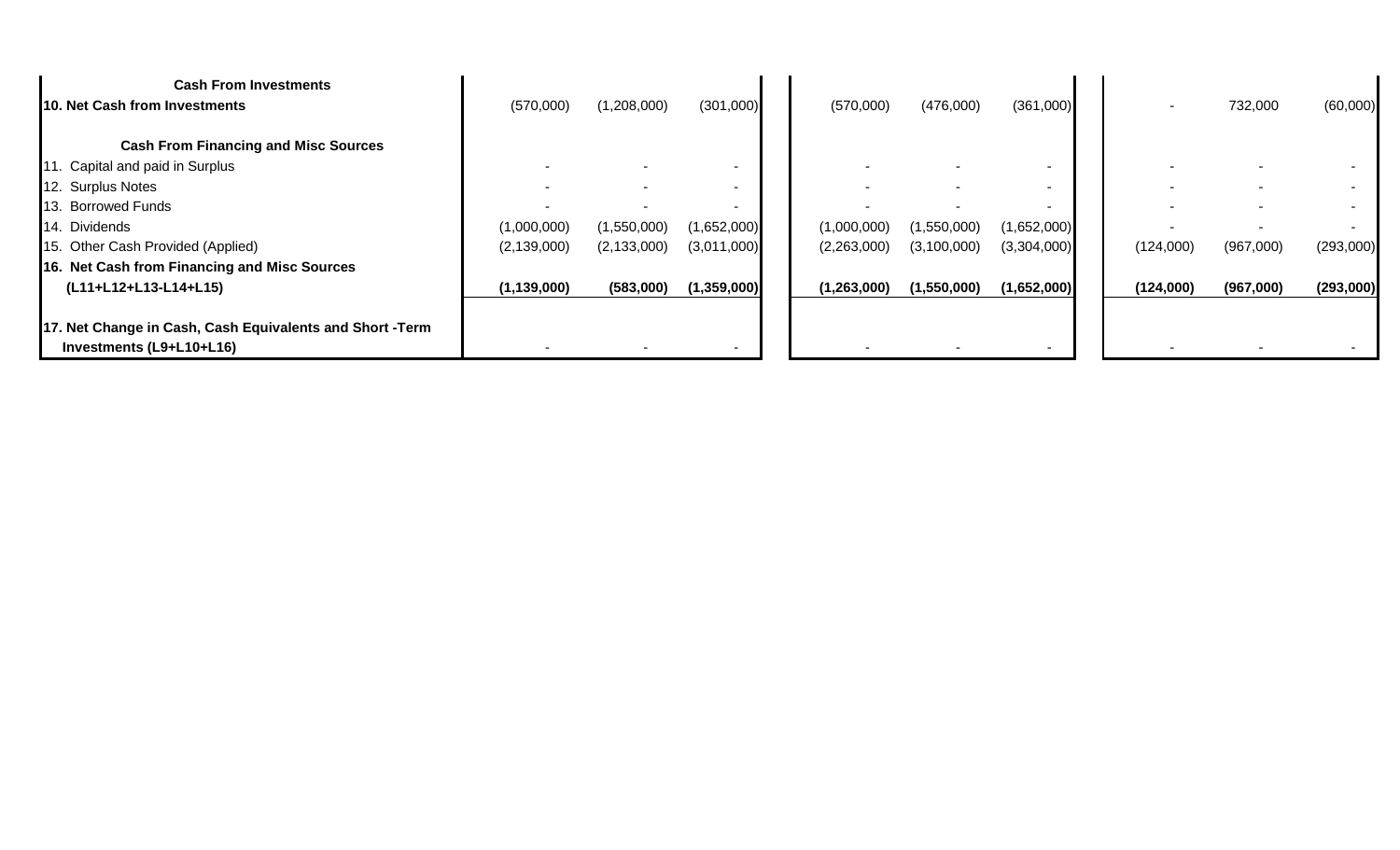| <b>Cash From Investments</b>                             |               |                          |               |             |             |             |           |                          |
|----------------------------------------------------------|---------------|--------------------------|---------------|-------------|-------------|-------------|-----------|--------------------------|
| 10. Net Cash from Investments                            | (570,000)     | (1,208,000)              | (301,000)     | (570,000)   | (476,000)   | (361,000)   |           | 732,000                  |
| <b>Cash From Financing and Misc Sources</b>              |               |                          |               |             |             |             |           |                          |
| 11. Capital and paid in Surplus                          |               | $\overline{\phantom{a}}$ | $\sim$        |             |             |             |           | $\overline{\phantom{a}}$ |
| 12. Surplus Notes                                        |               | $\overline{\phantom{a}}$ | <u>. на п</u> |             |             |             |           | $\sim$                   |
| 13. Borrowed Funds                                       |               |                          |               |             |             |             |           | $\overline{\phantom{a}}$ |
| 14. Dividends                                            | (1,000,000)   | (1,550,000)              | (1,652,000)   | (1,000,000) | (1,550,000) | (1,652,000) |           | $\sim$                   |
| 15. Other Cash Provided (Applied)                        | (2, 139, 000) | (2, 133, 000)            | (3,011,000)   | (2,263,000) | (3,100,000) | (3,304,000) | (124,000) | (967,000)                |
| 16. Net Cash from Financing and Misc Sources             |               |                          |               |             |             |             |           |                          |
| (L11+L12+L13-L14+L15)                                    | (1, 139, 000) | (583,000)                | (1,359,000)   | (1,263,000) | (1,550,000) | (1,652,000) | (124,000) | (967,000)                |
|                                                          |               |                          |               |             |             |             |           |                          |
| 17. Net Change in Cash, Cash Equivalents and Short -Term |               |                          |               |             |             |             |           |                          |
| Investments (L9+L10+L16)                                 |               | $\overline{\phantom{a}}$ |               |             |             |             |           |                          |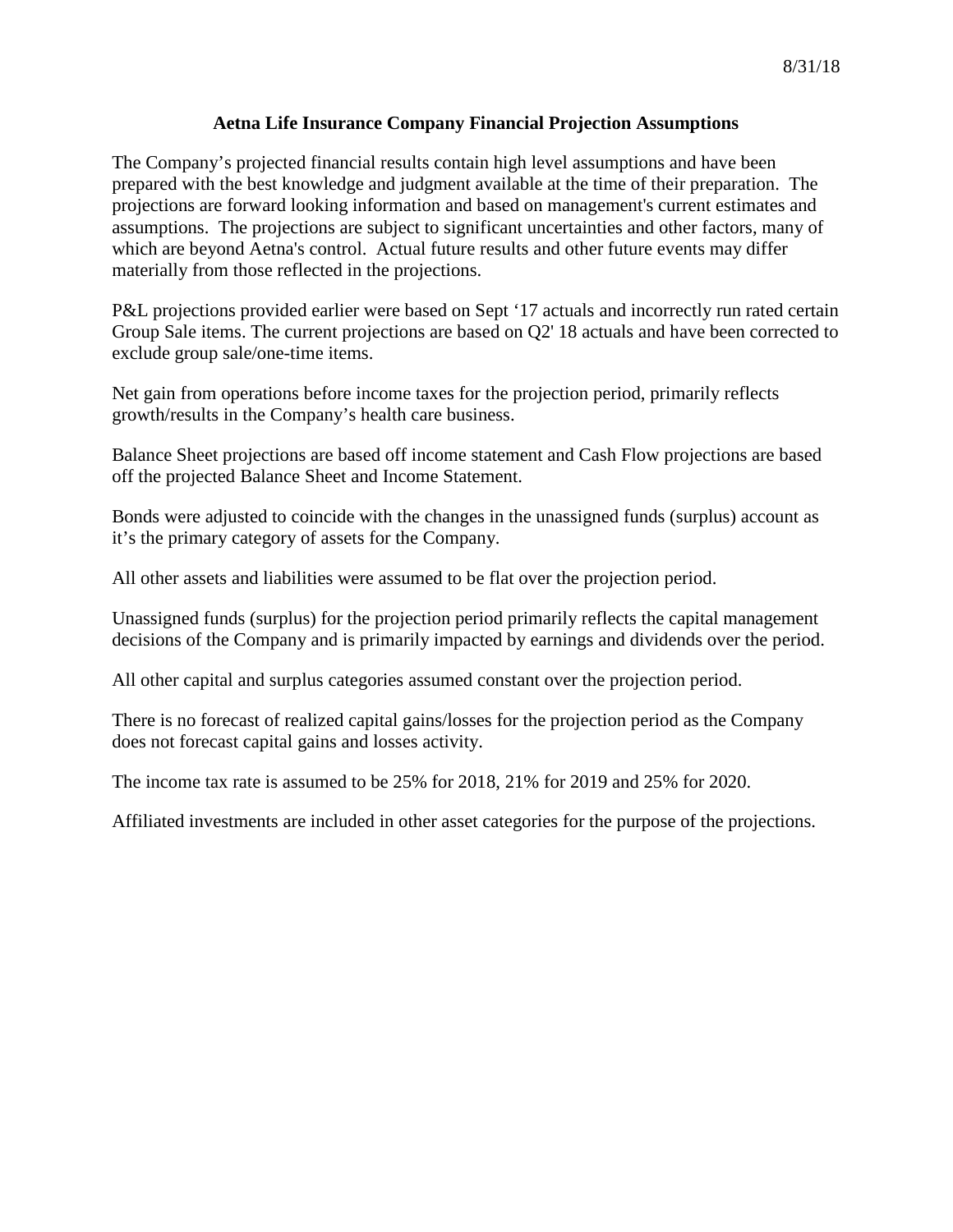## **Aetna Life Insurance Company Financial Projection Assumptions**

The Company's projected financial results contain high level assumptions and have been prepared with the best knowledge and judgment available at the time of their preparation. The projections are forward looking information and based on management's current estimates and assumptions. The projections are subject to significant uncertainties and other factors, many of which are beyond Aetna's control. Actual future results and other future events may differ materially from those reflected in the projections.

P&L projections provided earlier were based on Sept '17 actuals and incorrectly run rated certain Group Sale items. The current projections are based on Q2' 18 actuals and have been corrected to exclude group sale/one-time items.

Net gain from operations before income taxes for the projection period, primarily reflects growth/results in the Company's health care business.

Balance Sheet projections are based off income statement and Cash Flow projections are based off the projected Balance Sheet and Income Statement.

Bonds were adjusted to coincide with the changes in the unassigned funds (surplus) account as it's the primary category of assets for the Company.

All other assets and liabilities were assumed to be flat over the projection period.

Unassigned funds (surplus) for the projection period primarily reflects the capital management decisions of the Company and is primarily impacted by earnings and dividends over the period.

All other capital and surplus categories assumed constant over the projection period.

There is no forecast of realized capital gains/losses for the projection period as the Company does not forecast capital gains and losses activity.

The income tax rate is assumed to be 25% for 2018, 21% for 2019 and 25% for 2020.

Affiliated investments are included in other asset categories for the purpose of the projections.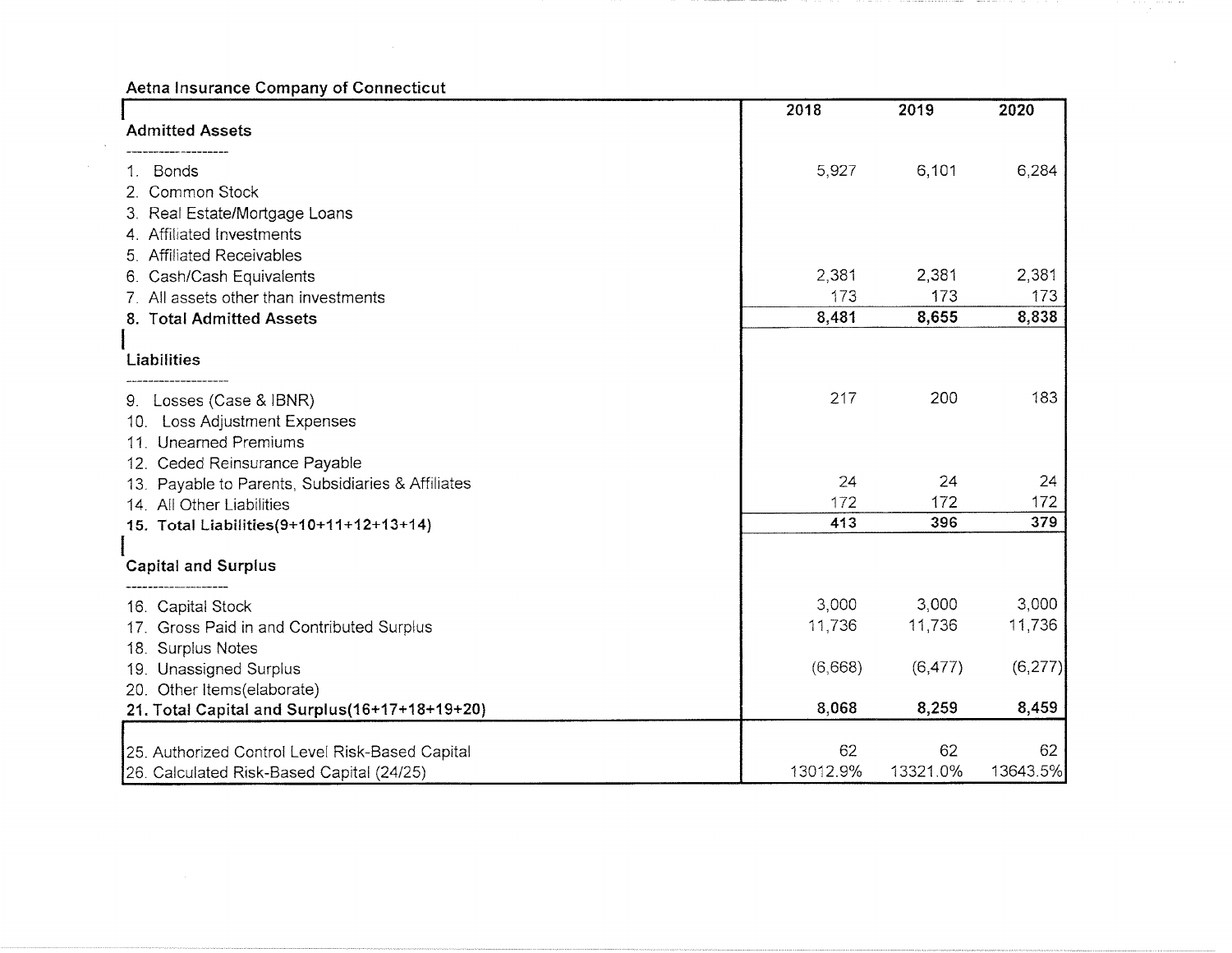# Aetna Insurance Company of Connecticut

 $\sim$   $\sim$ 

|                                                   | 2018     | 2019     | 2020     |
|---------------------------------------------------|----------|----------|----------|
| <b>Admitted Assets</b>                            |          |          |          |
| 1. Bonds                                          | 5,927    | 6,101    | 6,284    |
| 2. Common Stock                                   |          |          |          |
| 3. Real Estate/Mortgage Loans                     |          |          |          |
| 4. Affiliated Investments                         |          |          |          |
| 5. Affiliated Receivables                         |          |          |          |
| 6. Cash/Cash Equivalents                          | 2,381    | 2,381    | 2,381    |
| 7. All assets other than investments              | 173      | 173      | 173      |
| 8. Total Admitted Assets                          | 8,481    | 8,655    | 8,838    |
| Liabilities                                       |          |          |          |
| 9. Losses (Case & IBNR)                           | 217      | 200      | 183      |
| 10. Loss Adjustment Expenses                      |          |          |          |
| 11. Unearned Premiums                             |          |          |          |
| 12. Ceded Reinsurance Payable                     |          |          |          |
| 13. Payable to Parents, Subsidiaries & Affiliates | 24       | 24       | 24       |
| 14. All Other Liabilities                         | 172      | 172      | 172      |
| 15. Total Liabilities(9+10+11+12+13+14)           | 413      | 396      | 379      |
| <b>Capital and Surplus</b>                        |          |          |          |
| 16. Capital Stock                                 | 3,000    | 3,000    | 3,000    |
| 17. Gross Paid in and Contributed Surplus         | 11,736   | 11,736   | 11,736   |
| 18. Surplus Notes                                 |          |          |          |
| 19. Unassigned Surplus                            | (6,668)  | (6, 477) | (6, 277) |
| 20. Other Items(elaborate)                        |          |          |          |
| 21. Total Capital and Surplus(16+17+18+19+20)     | 8,068    | 8,259    | 8,459    |
| 25. Authorized Control Level Risk-Based Capital   | 62       | 62       | 62       |
| 26. Calculated Risk-Based Capital (24/25)         | 13012.9% | 13321.0% | 13643.5% |

A 1. 19. LOCATED AT EXECUTIVE COMPANY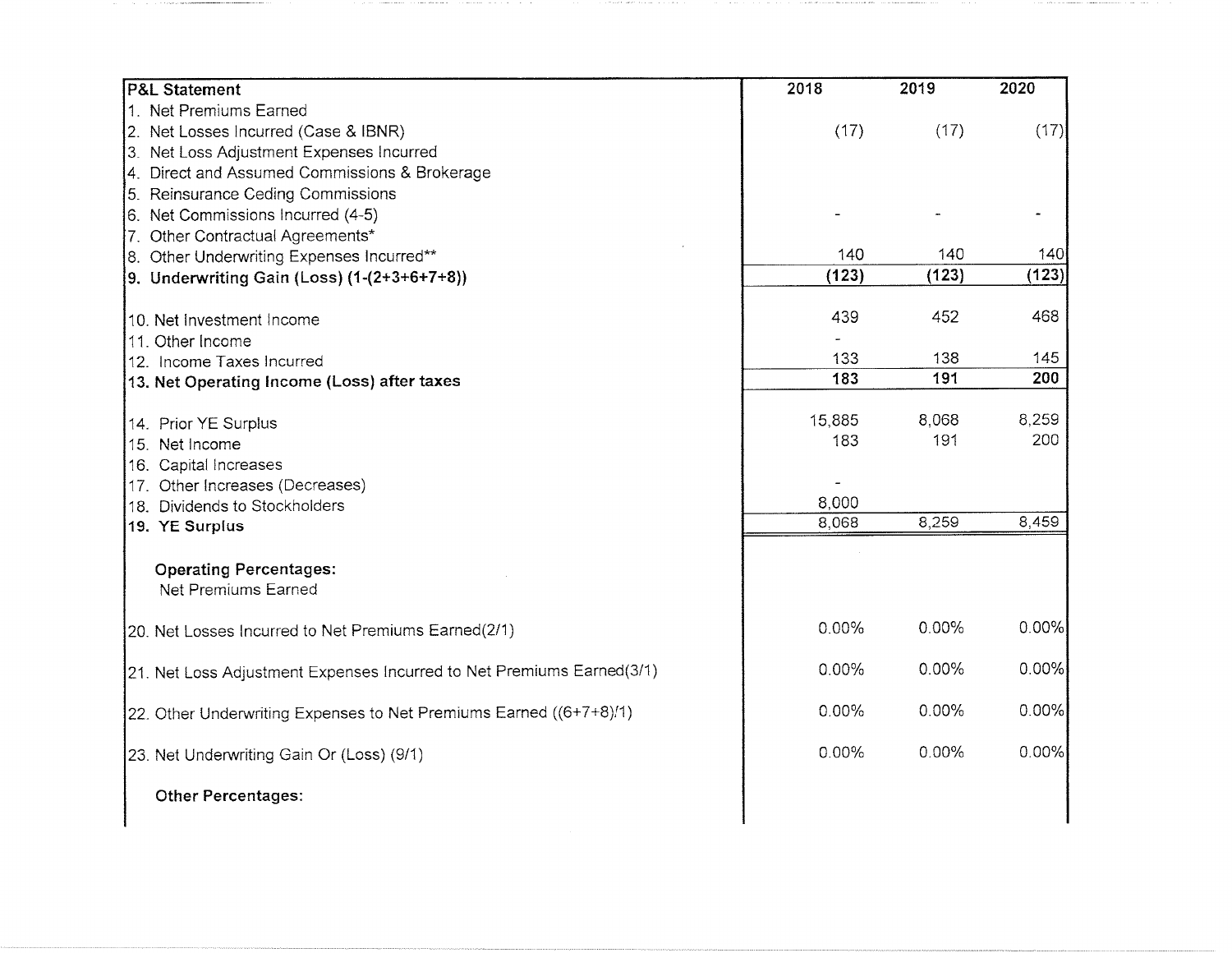| P&L Statement                                                         | 2018   | 2019  | $\frac{1}{2020}$ |
|-----------------------------------------------------------------------|--------|-------|------------------|
| 1. Net Premiums Earned                                                |        |       |                  |
| 2. Net Losses Incurred (Case & IBNR)                                  | (17)   | (17)  | (17)             |
| 3. Net Loss Adjustment Expenses Incurred                              |        |       |                  |
| 4. Direct and Assumed Commissions & Brokerage                         |        |       |                  |
| 5. Reinsurance Ceding Commissions                                     |        |       |                  |
| 6. Net Commissions Incurred (4-5)                                     |        |       |                  |
| 7. Other Contractual Agreements*                                      |        |       |                  |
| 8. Other Underwriting Expenses Incurred**                             | 140    | 140   | 140              |
| 9. Underwriting Gain (Loss) $(1-(2+3+6+7+8))$                         | (123)  | (123) | (123)            |
| 10. Net Investment Income                                             | 439    | 452   | 468              |
| 11. Other Income                                                      |        |       |                  |
| 12. Income Taxes Incurred                                             | 133    | 138   | 145              |
| 13. Net Operating Income (Loss) after taxes                           | 183    | 191   | 200              |
| 14. Prior YE Surplus                                                  | 15,885 | 8,068 | 8,259            |
| 15. Net Income                                                        | 183    | 191   | 200              |
| 16. Capital Increases                                                 |        |       |                  |
| 17. Other Increases (Decreases)                                       |        |       |                  |
| 18. Dividends to Stockholders                                         | 8,000  |       |                  |
| 19. YE Surplus                                                        | 8,068  | 8,259 | 8,459            |
| <b>Operating Percentages:</b>                                         |        |       |                  |
| <b>Net Premiums Earned</b>                                            |        |       |                  |
| 20. Net Losses Incurred to Net Premiums Earned(2/1)                   | 0.00%  | 0.00% | 0.00%            |
| 21. Net Loss Adjustment Expenses Incurred to Net Premiums Earned(3/1) | 0.00%  | 0.00% | 0.00%            |
| 22. Other Underwriting Expenses to Net Premiums Earned ((6+7+8)/1)    | 0.00%  | 0.00% | 0.00%            |
| 23. Net Underwriting Gain Or (Loss) (9/1)                             | 0.00%  | 0.00% | 0.00%            |
| <b>Other Percentages:</b>                                             |        |       |                  |
|                                                                       |        |       |                  |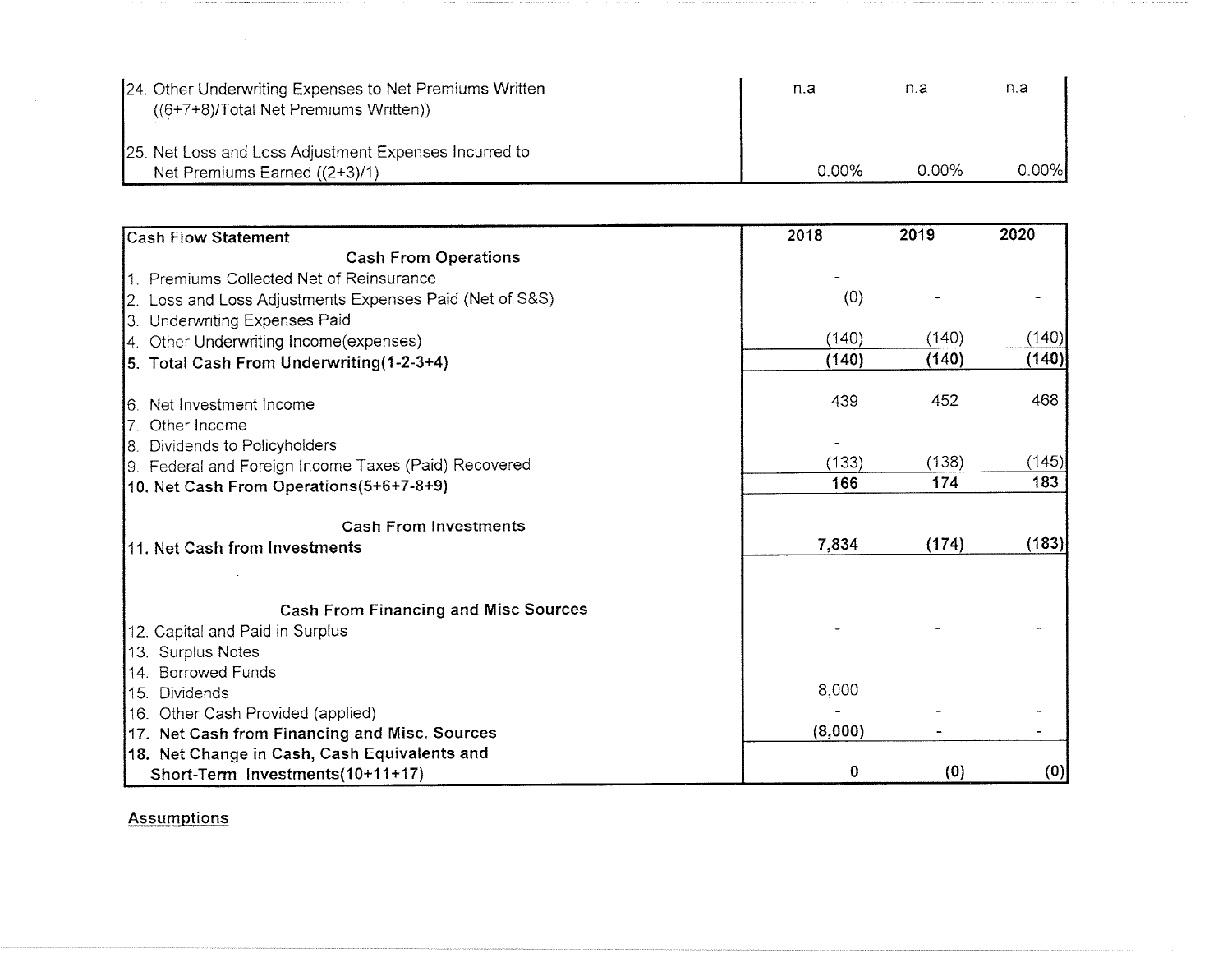| [24. Other Underwriting Expenses to Net Premiums Written]<br>$((6+7+8)$ /Total Net Premiums Written)) | n.a      | n.a   | n.a      |
|-------------------------------------------------------------------------------------------------------|----------|-------|----------|
| [25. Net Loss and Loss Adjustment Expenses Incurred to<br>Net Premiums Earned $((2+3)/1)$             | $0.00\%$ | 0.00% | $0.00\%$ |

| <b>Cash Flow Statement</b>                              | 2018    | 2019  | 2020  |
|---------------------------------------------------------|---------|-------|-------|
| <b>Cash From Operations</b>                             |         |       |       |
| 1. Premiums Collected Net of Reinsurance                |         |       |       |
| 2. Loss and Loss Adjustments Expenses Paid (Net of S&S) | (0)     |       |       |
| 3. Underwriting Expenses Paid                           |         |       |       |
| 4. Other Underwriting Income(expenses)                  | (140)   | (140) | (140) |
| 5. Total Cash From Underwriting (1-2-3+4)               | (140)   | (140) | (140) |
| 6. Net Investment Income                                | 439     | 452   | 468   |
| Other Income<br>7.                                      |         |       |       |
| 8. Dividends to Policyholders                           |         |       |       |
| 9. Federal and Foreign Income Taxes (Paid) Recovered    | (133)   | (138) | (145) |
| 10. Net Cash From Operations(5+6+7-8+9)                 | 166     | 174   | 183   |
|                                                         |         |       |       |
| <b>Cash From Investments</b>                            |         |       |       |
| 11. Net Cash from Investments                           | 7,834   | (174) | (183) |
|                                                         |         |       |       |
| <b>Cash From Financing and Misc Sources</b>             |         |       |       |
| 12. Capital and Paid in Surplus                         |         |       |       |
| 13. Surplus Notes                                       |         |       |       |
| 14. Borrowed Funds                                      |         |       |       |
| 15. Dividends                                           | 8,000   |       |       |
| 16. Other Cash Provided (applied)                       |         |       |       |
| 17. Net Cash from Financing and Misc. Sources           | (8,000) |       |       |
| 18. Net Change in Cash, Cash Equivalents and            |         |       |       |
| Short-Term Investments(10+11+17)                        | 0       | (0)   | (0)   |

 $\sim$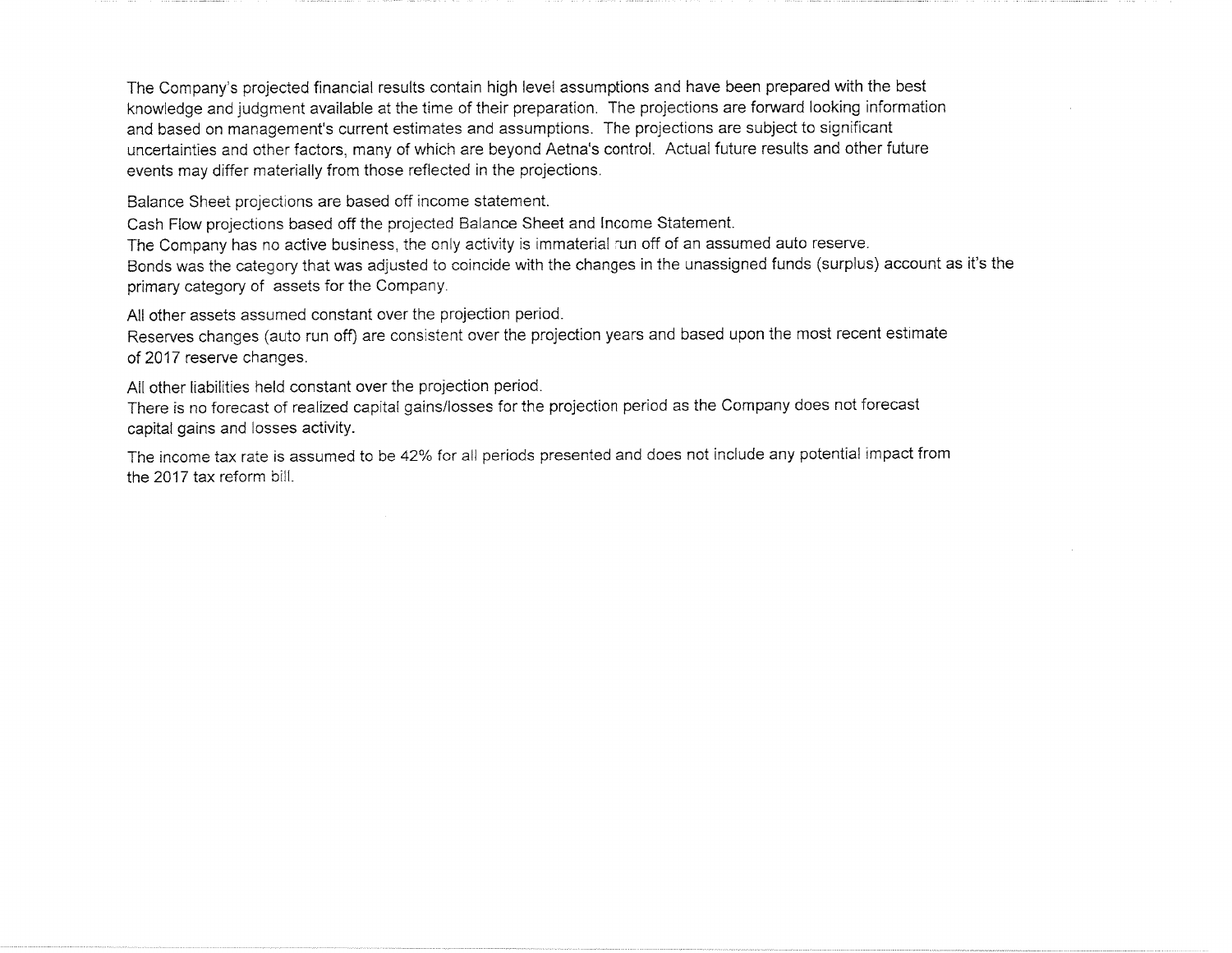The Company's projected financial results contain high level assumptions and have been prepared with the best knowledge and judgment available at the time of their preparation. The projections are forward looking information and based on management's current estimates and assumptions. The projections are subject to significant uncertainties and other factors, many of which are beyond Aetna's control. Actual future results and other future events may differ materially from those reflected in the projections.

Balance Sheet projections are based off income statement.

Cash Flow projections based off the projected Balance Sheet and Income Statement.

The Company has no active business, the only activity is immaterial run off of an assumed auto reserve.

Bonds was the category that was adjusted to coincide with the changes in the unassigned funds (surplus) account as it's the primary category of assets for the Company.

All other assets assumed constant over the projection period.

Reserves changes (auto run off) are consistent over the projection years and based upon the most recent estimate of 2017 reserve changes.

All other liabilities held constant over the projection period.

There is no forecast of realized capital gains/losses for the projection period as the Company does not forecast capital gains and losses activity.

The income tax rate is assumed to be 42% for all periods presented and does not include any potential impact from the 2017 tax reform bill.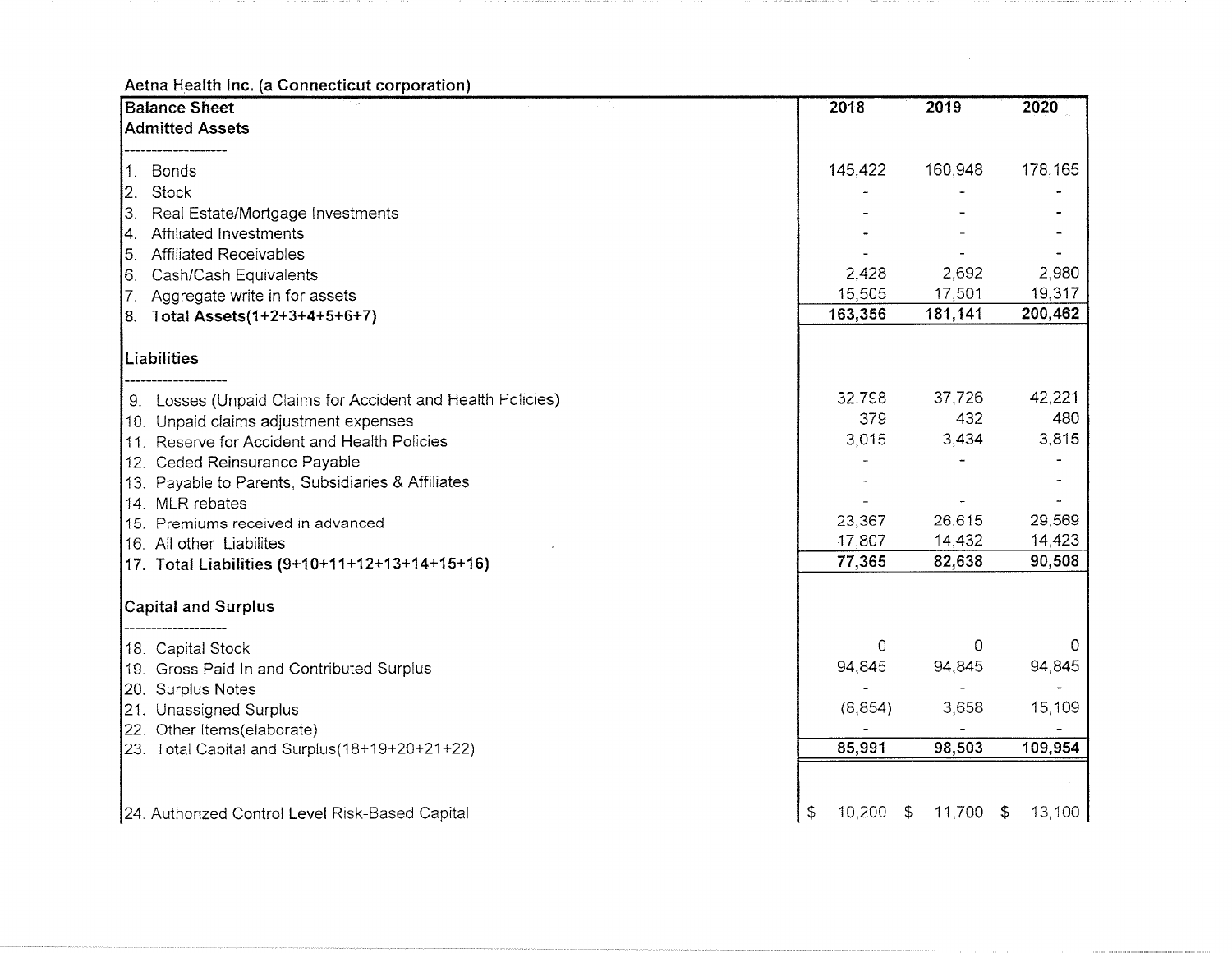| notha riodhin mor ja oomnootiodt oorpordtion<br><b>Balance Sheet</b> | 2018              | 2019    |           | 2020    |
|----------------------------------------------------------------------|-------------------|---------|-----------|---------|
| <b>Admitted Assets</b>                                               |                   |         |           |         |
| <b>Bonds</b>                                                         | 145,422           | 160,948 |           | 178,165 |
| <b>Stock</b><br>2.                                                   |                   |         |           |         |
| 3.<br>Real Estate/Mortgage Investments                               |                   |         |           |         |
| <b>Affiliated Investments</b><br>4.                                  |                   |         |           |         |
| <b>Affiliated Receivables</b><br>5.                                  |                   |         |           |         |
| Cash/Cash Equivalents<br>6.                                          | 2,428             |         | 2,692     | 2,980   |
| Aggregate write in for assets<br>7.                                  | 15,505            |         | 17,501    | 19,317  |
| Total Assets(1+2+3+4+5+6+7)<br>8.                                    | 163,356           | 181,141 |           | 200,462 |
| Liabilities                                                          |                   |         |           |         |
| 9. Losses (Unpaid Claims for Accident and Health Policies)           | 32,798            |         | 37,726    | 42,221  |
| 10. Unpaid claims adjustment expenses                                | 379               |         | 432       | 480     |
| 11. Reserve for Accident and Health Policies                         | 3,015             |         | 3,434     | 3,815   |
| 12. Ceded Reinsurance Payable                                        |                   |         |           |         |
| 13. Payable to Parents, Subsidiaries & Affiliates                    |                   |         |           |         |
| 14. MLR rebates                                                      |                   |         |           |         |
| 15. Premiums received in advanced                                    | 23,367            |         | 26,615    | 29,569  |
| 16. All other Liabilites                                             | 17,807            |         | 14,432    | 14,423  |
| 17. Total Liabilities (9+10+11+12+13+14+15+16)                       | 77,365            |         | 82,638    | 90,508  |
| <b>Capital and Surplus</b>                                           |                   |         |           |         |
| 18. Capital Stock                                                    | 0                 |         | 0         |         |
| 19. Gross Paid In and Contributed Surplus                            | 94,845            |         | 94,845    | 94,845  |
| 20. Surplus Notes                                                    |                   |         |           |         |
| 21. Unassigned Surplus                                               | (8, 854)          |         | 3,658     | 15,109  |
| 22. Other Items(elaborate)                                           |                   |         |           |         |
| 23. Total Capital and Surplus(18+19+20+21+22)                        | 85,991            |         | 98,503    | 109,954 |
|                                                                      |                   |         |           |         |
| 24. Authorized Control Level Risk-Based Capital                      | \$<br>$10,200$ \$ |         | 11,700 \$ | 13,100  |

the final contract constant contracts and the con-

#### Aetna Health Inc. (a Connecticut corporation)

**Automobile Act of Designation**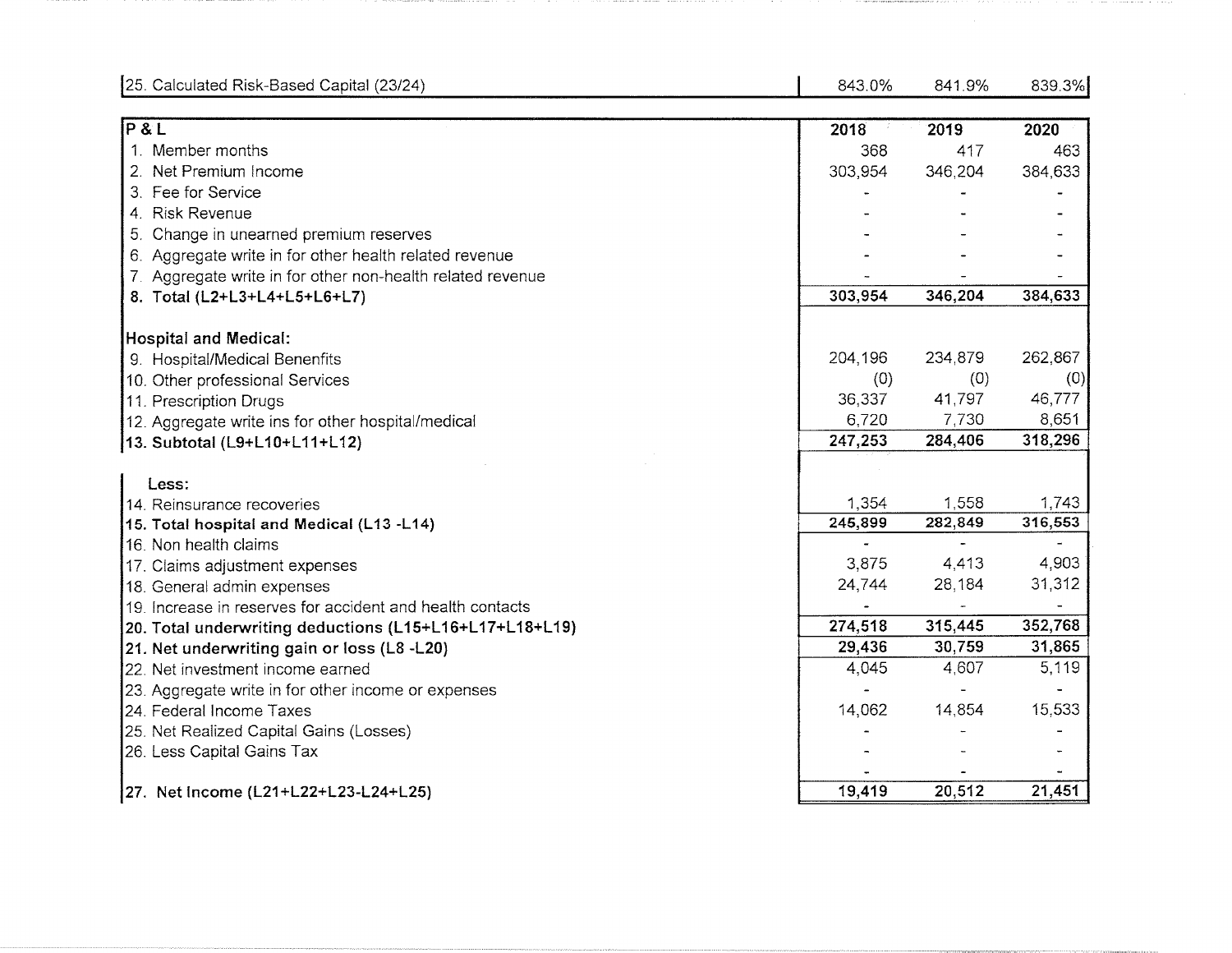| [25. Calculated Risk-Based Capital (23/24)                 | 843.0%  | 841.9%  | 839.3%  |
|------------------------------------------------------------|---------|---------|---------|
| P & L                                                      | 2018    | 2019    | 2020    |
| 1. Member months                                           | 368     | 417     | 463     |
| 2. Net Premium Income                                      | 303,954 | 346,204 | 384,633 |
| 3. Fee for Service                                         |         |         |         |
| 4. Risk Revenue                                            |         |         |         |
| 5. Change in unearned premium reserves                     |         |         |         |
| 6. Aggregate write in for other health related revenue     |         |         |         |
| 7. Aggregate write in for other non-health related revenue |         |         |         |
| 8. Total (L2+L3+L4+L5+L6+L7)                               | 303,954 | 346,204 | 384,633 |
|                                                            |         |         |         |
| <b>Hospital and Medical:</b>                               |         |         |         |
| 9. Hospital/Medical Benenfits                              | 204,196 | 234,879 | 262,867 |
| 10. Other professional Services                            | (0)     | (0)     | (0)     |
| 11. Prescription Drugs                                     | 36,337  | 41,797  | 46,777  |
| 12. Aggregate write ins for other hospital/medical         | 6,720   | 7,730   | 8,651   |
| 13. Subtotal (L9+L10+L11+L12)                              | 247,253 | 284,406 | 318,296 |
|                                                            |         |         |         |
| Less:                                                      |         |         |         |
| 14. Reinsurance recoveries                                 | 1,354   | 1,558   | 1,743   |
| 15. Total hospital and Medical (L13 -L14)                  | 245,899 | 282,849 | 316,553 |
| 16. Non health claims                                      |         |         |         |
| 17. Claims adjustment expenses                             | 3,875   | 4,413   | 4,903   |
| 18. General admin expenses                                 | 24,744  | 28,184  | 31,312  |
| 19. Increase in reserves for accident and health contacts  |         |         |         |
| 20. Total underwriting deductions (L15+L16+L17+L18+L19)    | 274,518 | 315,445 | 352,768 |
| 21. Net underwriting gain or loss (L8 -L20)                | 29,436  | 30,759  | 31,865  |
| 22. Net investment income earned                           | 4,045   | 4,607   | 5,119   |
| 23. Aggregate write in for other income or expenses        |         |         |         |
| 24. Federal Income Taxes                                   | 14,062  | 14,854  | 15,533  |
| 25. Net Realized Capital Gains (Losses)                    |         |         |         |
| 26. Less Capital Gains Tax                                 |         |         |         |
|                                                            |         |         |         |

 $19,419$ 

 $20,512$ 

21,451

27. Net Income (L21+L22+L23-L24+L25)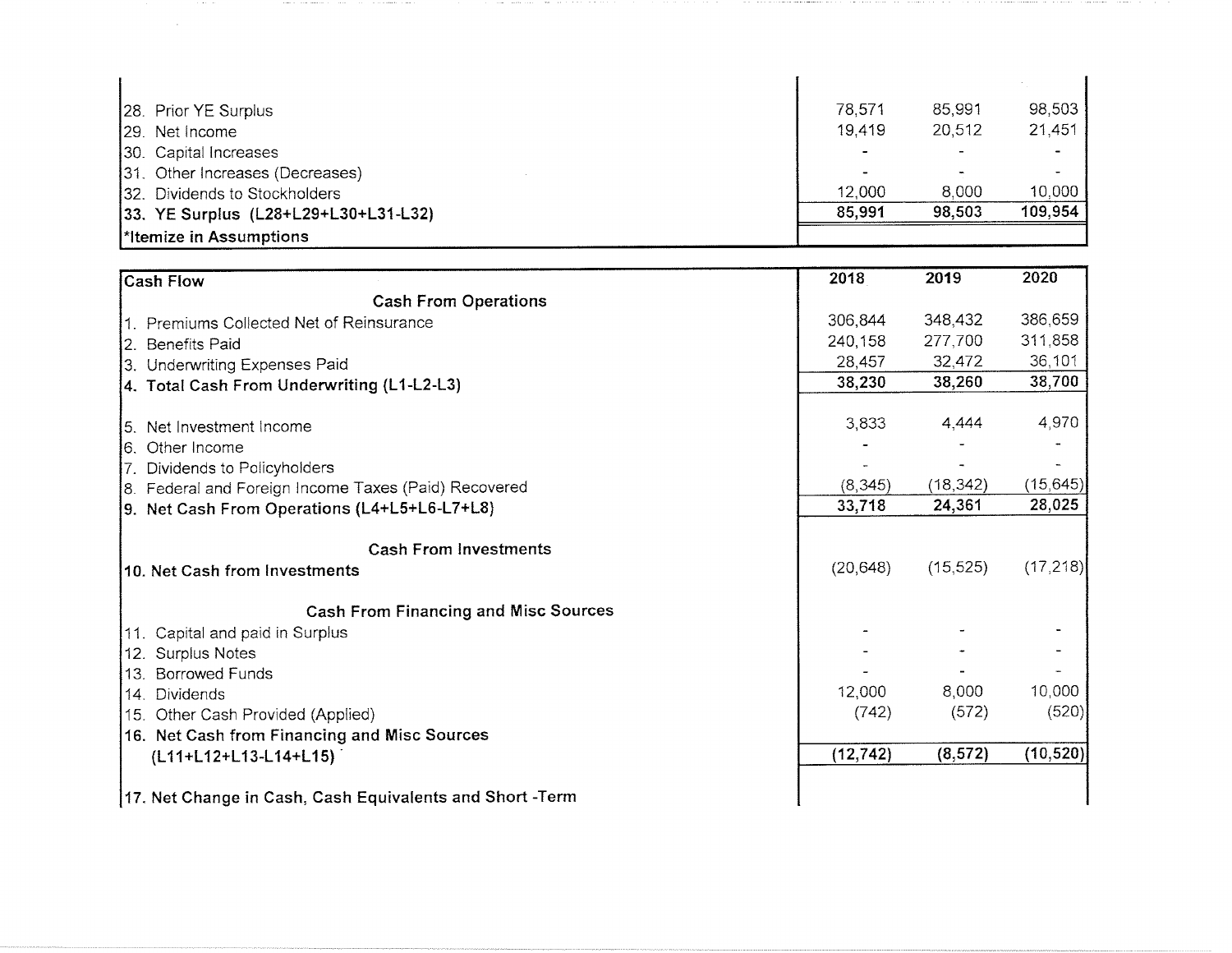| 28. Prior YE Surplus                 | 78.571 | 85,991 | 98,503  |
|--------------------------------------|--------|--------|---------|
| 129. Net Income                      | 19.419 | 20,512 | 21,451  |
| 30. Capital Increases                |        |        | -       |
| 31. Other Increases (Decreases)      |        |        |         |
| 32. Dividends to Stockholders        | 12,000 | 8.000  | 10,000  |
| 33. YE Surplus (L28+L29+L30+L31-L32) | 85,991 | 98,503 | 109,954 |
| <i>l*Itemize in Assumptions</i>      |        |        |         |

 $\alpha$  , and the contract of the contract space and the contract of the contract of the contract of the contract of the contract of the contract of the contract of the contract of the contract of the contract of the contrac

 $\mathcal{L}^{\text{max}}_{\text{max}}$ 

| <b>Cash Flow</b>                                     | 2018      | 2019      | 2020      |
|------------------------------------------------------|-----------|-----------|-----------|
| <b>Cash From Operations</b>                          |           |           |           |
| 1. Premiums Collected Net of Reinsurance             | 306,844   | 348,432   | 386,659   |
| 2. Benefits Paid                                     | 240,158   | 277,700   | 311,858   |
| 3. Underwriting Expenses Paid                        | 28,457    | 32,472    | 36,101    |
| 4. Total Cash From Underwriting (L1-L2-L3)           | 38,230    | 38,260    | 38,700    |
| Net Investment Income<br>.5.                         | 3,833     | 4,444     | 4,970     |
| 6. Other Income                                      |           |           |           |
| 7. Dividends to Policyholders                        |           |           |           |
| 8. Federal and Foreign Income Taxes (Paid) Recovered | (8, 345)  | (18, 342) | (15, 645) |
| 9. Net Cash From Operations (L4+L5+L6-L7+L8)         | 33,718    | 24,361    | 28,025    |
|                                                      |           |           |           |
| <b>Cash From Investments</b>                         |           |           |           |
| 10. Net Cash from Investments                        | (20, 648) | (15, 525) | (17, 218) |
| <b>Cash From Financing and Misc Sources</b>          |           |           |           |
| 11. Capital and paid in Surplus                      |           |           |           |
| 12. Surplus Notes                                    |           |           |           |
| 13. Borrowed Funds                                   |           |           |           |
| 14. Dividends                                        | 12,000    | 8,000     | 10,000    |
| 15. Other Cash Provided (Applied)                    | (742)     | (572)     | (520)     |
|                                                      |           |           |           |
| 16. Net Cash from Financing and Misc Sources         | (12, 742) | (8, 572)  | (10, 520) |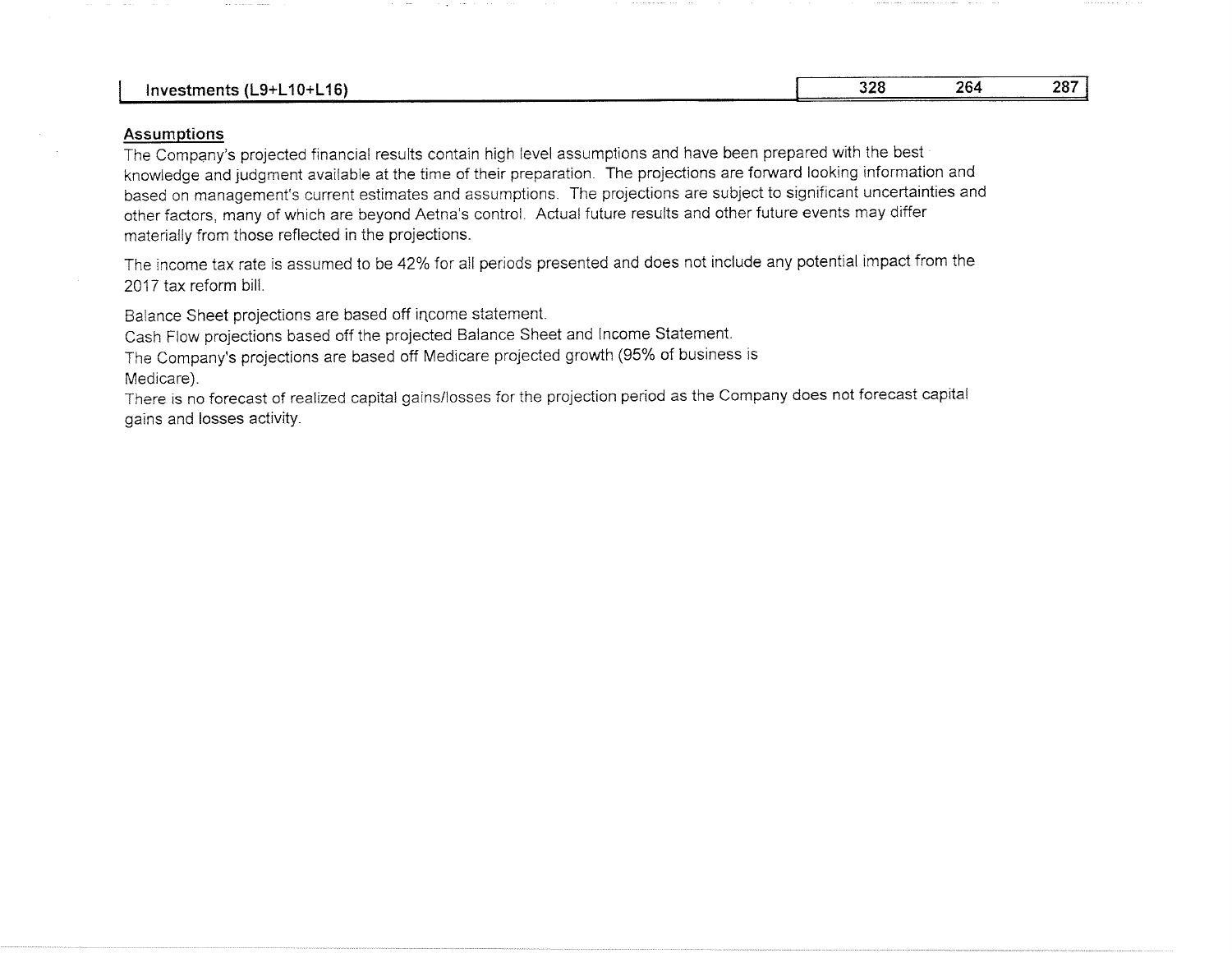| L10+L16)<br>Investments (L9+I | つつら<br>--- | 264 | 287 |
|-------------------------------|------------|-----|-----|
|                               |            |     |     |

The Company's projected financial results contain high level assumptions and have been prepared with the best knowledge and judgment available at the time of their preparation. The projections are forward looking information and based on management's current estimates and assumptions. The projections are subject to significant uncertainties and other factors, many of which are beyond Aetna's control. Actual future results and other future events may differ materially from those reflected in the projections.

The income tax rate is assumed to be 42% for all periods presented and does not include any potential impact from the 2017 tax reform bill.

Balance Sheet projections are based off income statement.

Cash Flow projections based off the projected Balance Sheet and Income Statement.

The Company's projections are based off Medicare projected growth (95% of business is Medicare).

There is no forecast of realized capital gains/losses for the projection period as the Company does not forecast capital gains and losses activity.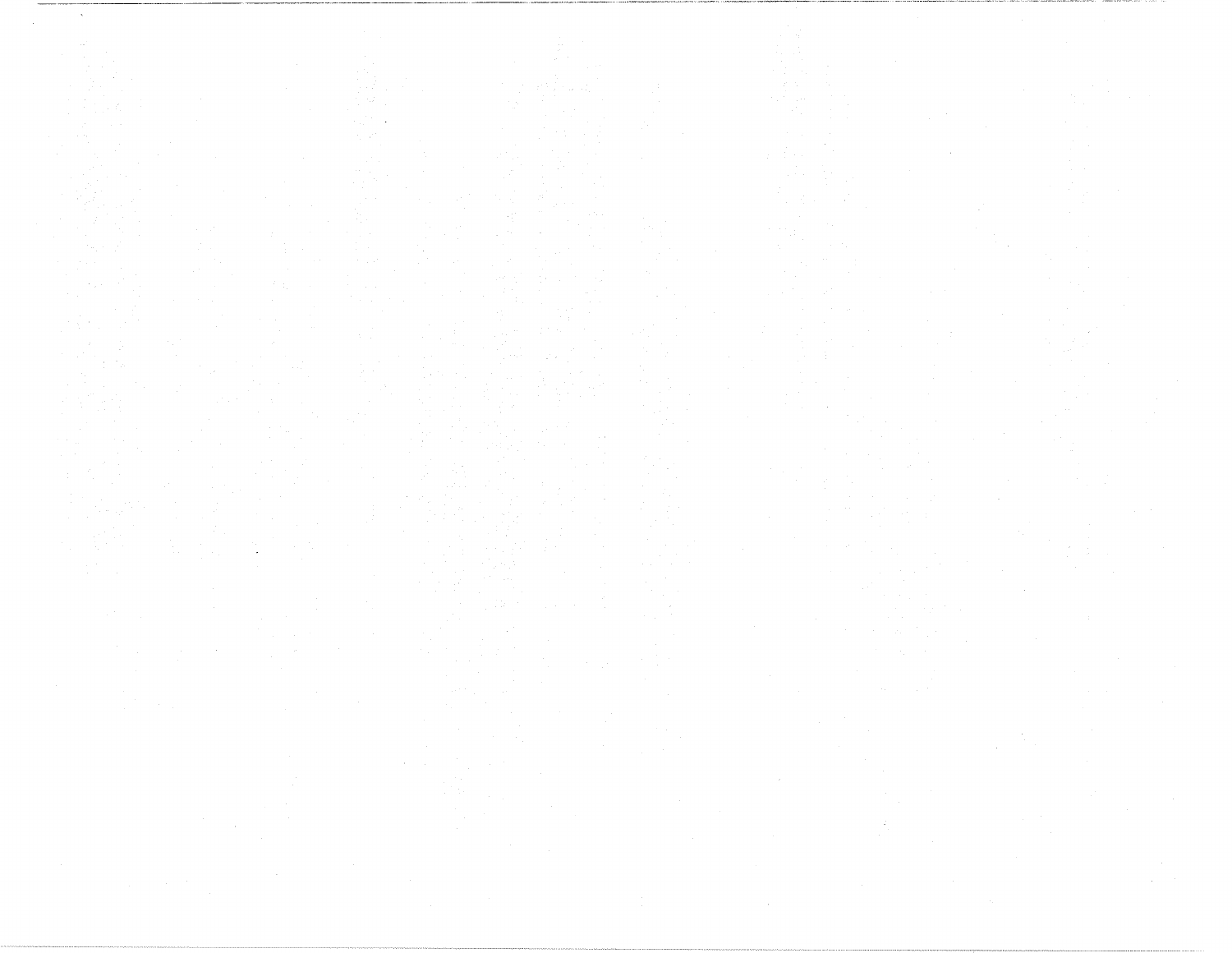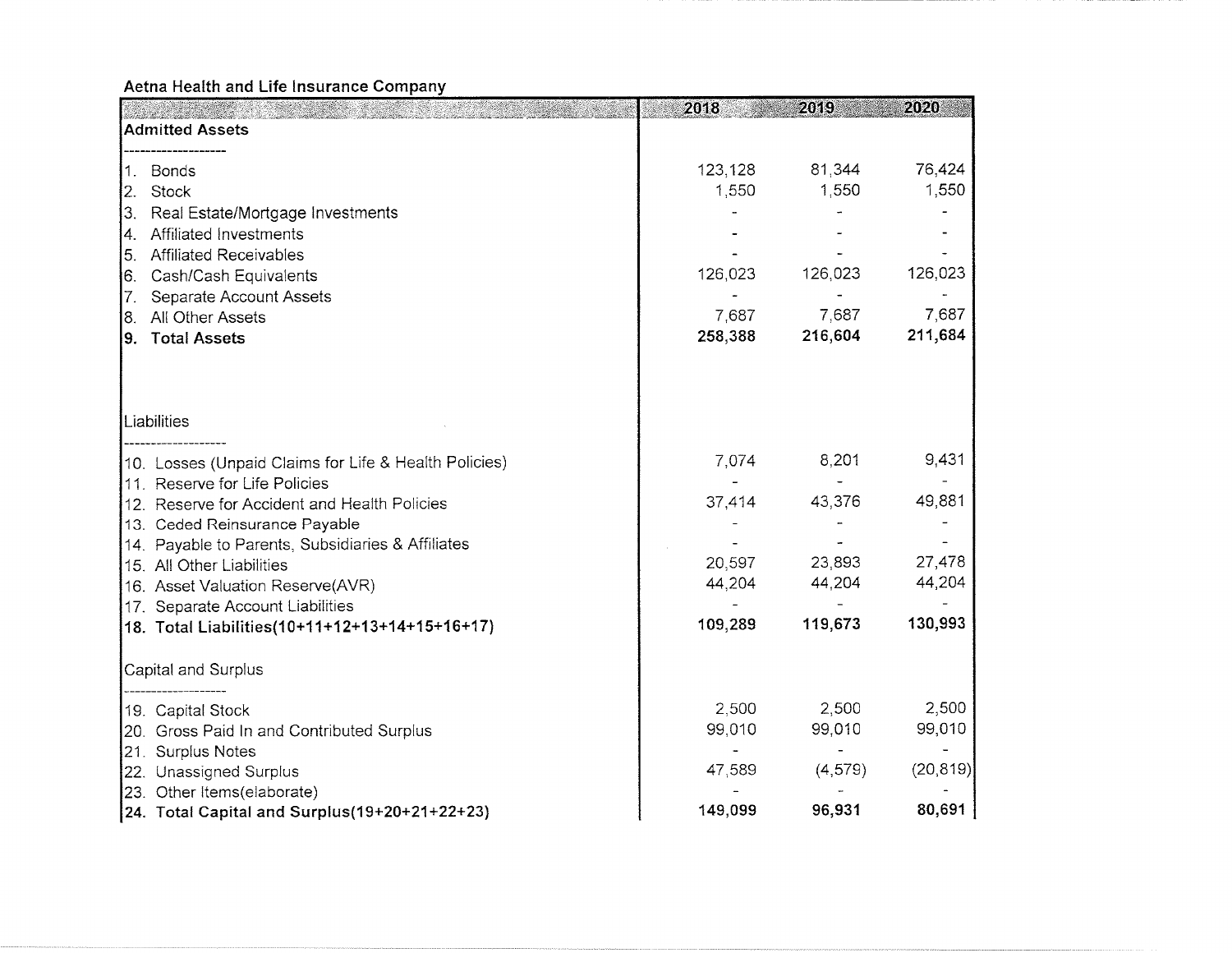# Aetna Health and Life Insurance Company

|                                                       | 2018    | 2019     | 2020      |
|-------------------------------------------------------|---------|----------|-----------|
| <b>Admitted Assets</b>                                |         |          |           |
| <b>Bonds</b><br>1.                                    | 123,128 | 81,344   | 76,424    |
| <b>Stock</b><br>2.                                    | 1,550   | 1,550    | 1,550     |
| 3.<br>Real Estate/Mortgage Investments                |         |          |           |
| <b>Affiliated Investments</b><br>4.                   |         |          |           |
| <b>Affiliated Receivables</b><br>5.                   |         |          |           |
| <b>Cash/Cash Equivalents</b><br>I6.                   | 126,023 | 126,023  | 126,023   |
| Separate Account Assets<br>7.                         |         |          |           |
| All Other Assets<br>8.                                | 7,687   | 7,687    | 7,687     |
| <b>Total Assets</b><br>9.                             | 258,388 | 216,604  | 211,684   |
| Liabilities                                           |         |          |           |
| 10. Losses (Unpaid Claims for Life & Health Policies) | 7,074   | 8,201    | 9,431     |
| 11. Reserve for Life Policies                         |         |          |           |
| 12. Reserve for Accident and Health Policies          | 37,414  | 43,376   | 49,881    |
| 13. Ceded Reinsurance Payable                         |         |          |           |
| 14. Payable to Parents, Subsidiaries & Affiliates     |         |          |           |
| 15. All Other Liabilities                             | 20,597  | 23,893   | 27,478    |
| 16. Asset Valuation Reserve(AVR)                      | 44,204  | 44,204   | 44,204    |
| 17. Separate Account Liabilities                      |         |          |           |
| 18. Total Liabilities(10+11+12+13+14+15+16+17)        | 109,289 | 119,673  | 130,993   |
| Capital and Surplus                                   |         |          |           |
|                                                       |         |          |           |
| 19. Capital Stock                                     | 2,500   | 2,500    | 2,500     |
| 20. Gross Paid In and Contributed Surplus             | 99,010  | 99,010   | 99,010    |
| 21. Surplus Notes<br>22. Unassigned Surplus           | 47,589  | (4, 579) | (20, 819) |
| 23. Other Items(elaborate)                            |         |          |           |
| 24. Total Capital and Surplus (19+20+21+22+23)        | 149,099 | 96,931   | 80,691    |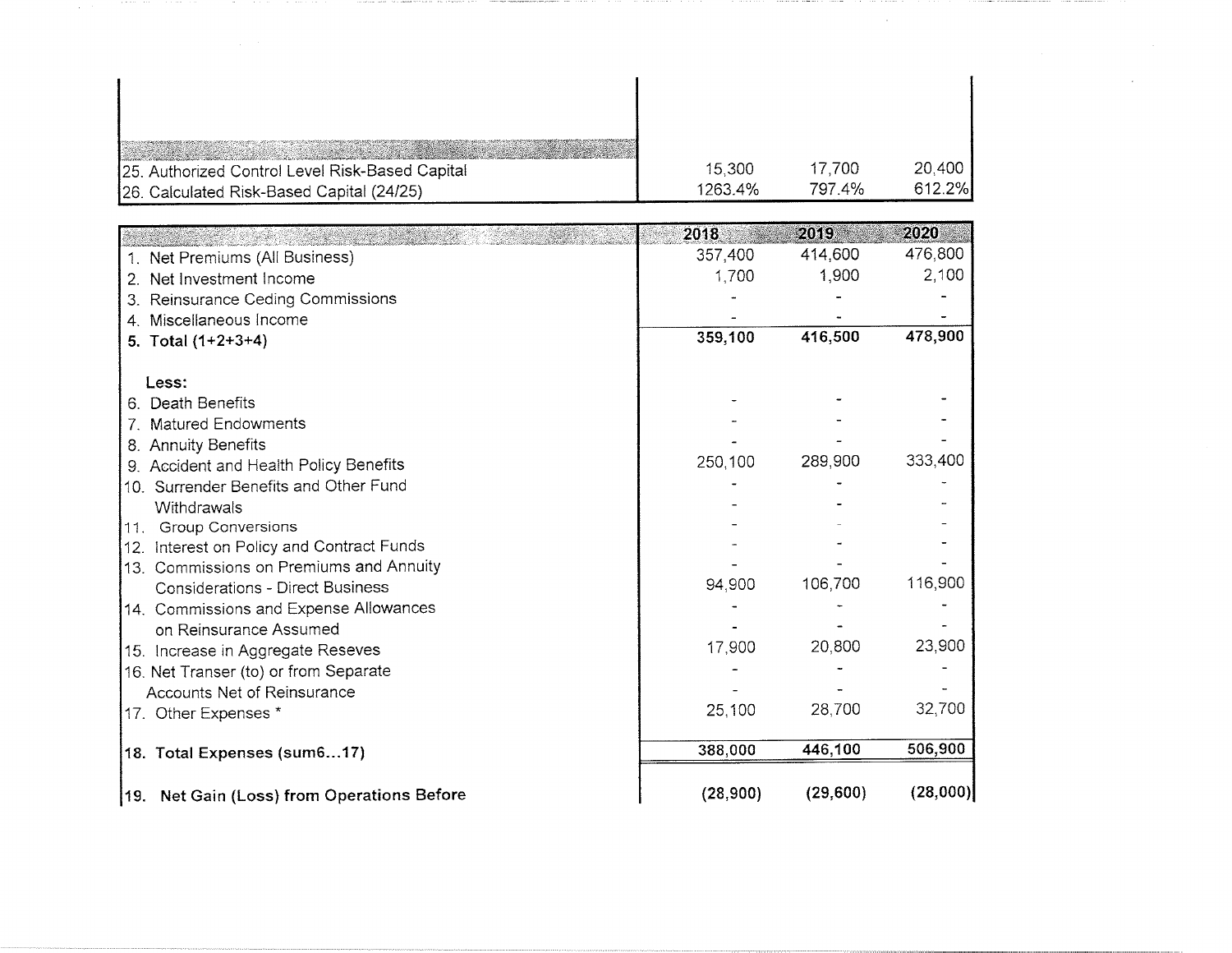| 25. Authorized Control Level Risk-Based Capital | 15,300  | 17,700  | 20,400  |
|-------------------------------------------------|---------|---------|---------|
| 26. Calculated Risk-Based Capital (24/25)       | 1263.4% | 797.4%  | 612.2%  |
|                                                 |         |         |         |
|                                                 | 2018    | 2019    | 2020    |
| 1. Net Premiums (All Business)                  | 357,400 | 414,600 | 476,800 |
| Net Investment Income<br>$2_{1}$                | 1,700   | 1,900   | 2,100   |
| 3. Reinsurance Ceding Commissions               |         |         |         |
| 4. Miscellaneous Income                         |         |         |         |
| 5. Total $(1+2+3+4)$                            | 359,100 | 416,500 | 478,900 |
|                                                 |         |         |         |
| Less:                                           |         |         |         |
| 6. Death Benefits                               |         |         |         |
| 7. Matured Endowments                           |         |         |         |
| 8. Annuity Benefits                             |         |         |         |
| 9. Accident and Health Policy Benefits          | 250,100 | 289,900 | 333,400 |
| 10. Surrender Benefits and Other Fund           |         |         |         |
| Withdrawals                                     |         |         |         |
| <b>Group Conversions</b><br>11.                 |         |         |         |
| 12. Interest on Policy and Contract Funds       |         |         |         |

94,900

 $\ddot{\phantom{a}}$ 

 $\overline{\phantom{a}}$ 

25,100

388,000

 $(28, 900)$ 

17,900

106,700

 $\ddot{\phantom{0}}$ 

 $\blacksquare$ 

 $\blacksquare$ 

 $\overline{a}$ 

28,700

446,100

 $(29, 600)$ 

20,800

116,900

 $\blacksquare$ 

23,900

32,700

506,900

 $(28,000)$ 

 $\overline{a}$ 

- 13. Commissions on Premiums and Annuity **Considerations - Direct Business**
- 14. Commissions and Expense Allowances on Reinsurance Assumed
- 15. Increase in Aggregate Reseves
- 16. Net Transer (to) or from Separate Accounts Net of Reinsurance
- 17. Other Expenses \*
- 18. Total Expenses (sum6...17)
- 19. Net Gain (Loss) from Operations Before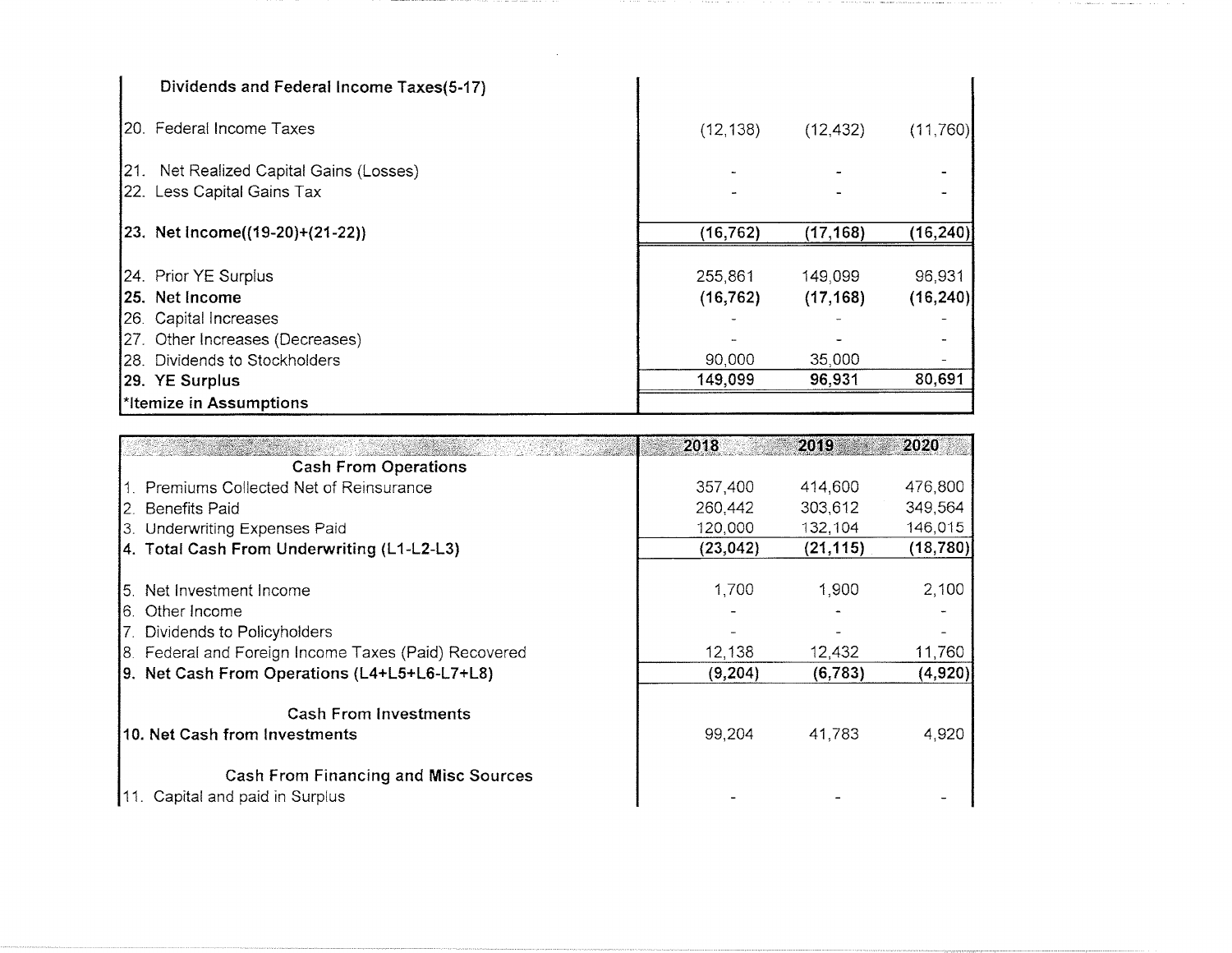| Dividends and Federal Income Taxes(5-17)                              |           |           |           |
|-----------------------------------------------------------------------|-----------|-----------|-----------|
| 20. Federal Income Taxes                                              | (12, 138) | (12, 432) | (11,760)  |
| 21. Net Realized Capital Gains (Losses)<br>22. Less Capital Gains Tax |           |           |           |
| [23. Net income((19-20)+(21-22))                                      | (16, 762) | (17, 168) | (16, 240) |
| 24. Prior YE Surplus                                                  | 255,861   | 149,099   | 96,931    |
| 25. Net Income                                                        | (16, 762) | (17, 168) | (16, 240) |
| 26. Capital Increases                                                 |           |           |           |
| 27. Other Increases (Decreases)                                       |           |           |           |
| 28. Dividends to Stockholders                                         | 90,000    | 35,000    |           |
| 29. YE Surplus                                                        | 149,099   | 96,931    | 80,691    |
| l*ltemize in Assumptions                                              |           |           |           |

 $\mathcal{L}(\mathcal{L}(\mathcal{L}))$  and  $\mathcal{L}(\mathcal{L}(\mathcal{L}))$  . The contribution of  $\mathcal{L}(\mathcal{L})$ 

|                                                                                    | 2018      | 20.9      | 2020     |
|------------------------------------------------------------------------------------|-----------|-----------|----------|
| <b>Cash From Operations</b>                                                        |           |           |          |
| Premiums Collected Net of Reinsurance                                              | 357,400   | 414,600   | 476,800  |
| <b>Benefits Paid</b><br>$2 -$                                                      | 260,442   | 303,612   | 349,564  |
| <b>Underwriting Expenses Paid</b><br>З.                                            | 120,000   | 132,104   | 146,015  |
| 4. Total Cash From Underwriting (L1-L2-L3)                                         | (23, 042) | (21, 115) | (18,780) |
|                                                                                    |           |           |          |
| 5. Net Investment Income                                                           | 1,700     | 1,900     | 2,100    |
| Other Income<br>I6.                                                                |           |           |          |
| Dividends to Policyholders<br>7.                                                   |           |           |          |
| 8. Federal and Foreign Income Taxes (Paid) Recovered                               | 12,138    | 12,432    | 11,760   |
| 9. Net Cash From Operations (L4+L5+L6-L7+L8)                                       | (9,204)   | (6, 783)  | (4,920)  |
| <b>Cash From Investments</b>                                                       |           |           |          |
| 10. Net Cash from Investments                                                      | 99,204    | 41,783    | 4,920    |
| <b>Cash From Financing and Misc Sources</b><br>Capital and paid in Surplus<br> 11. |           |           |          |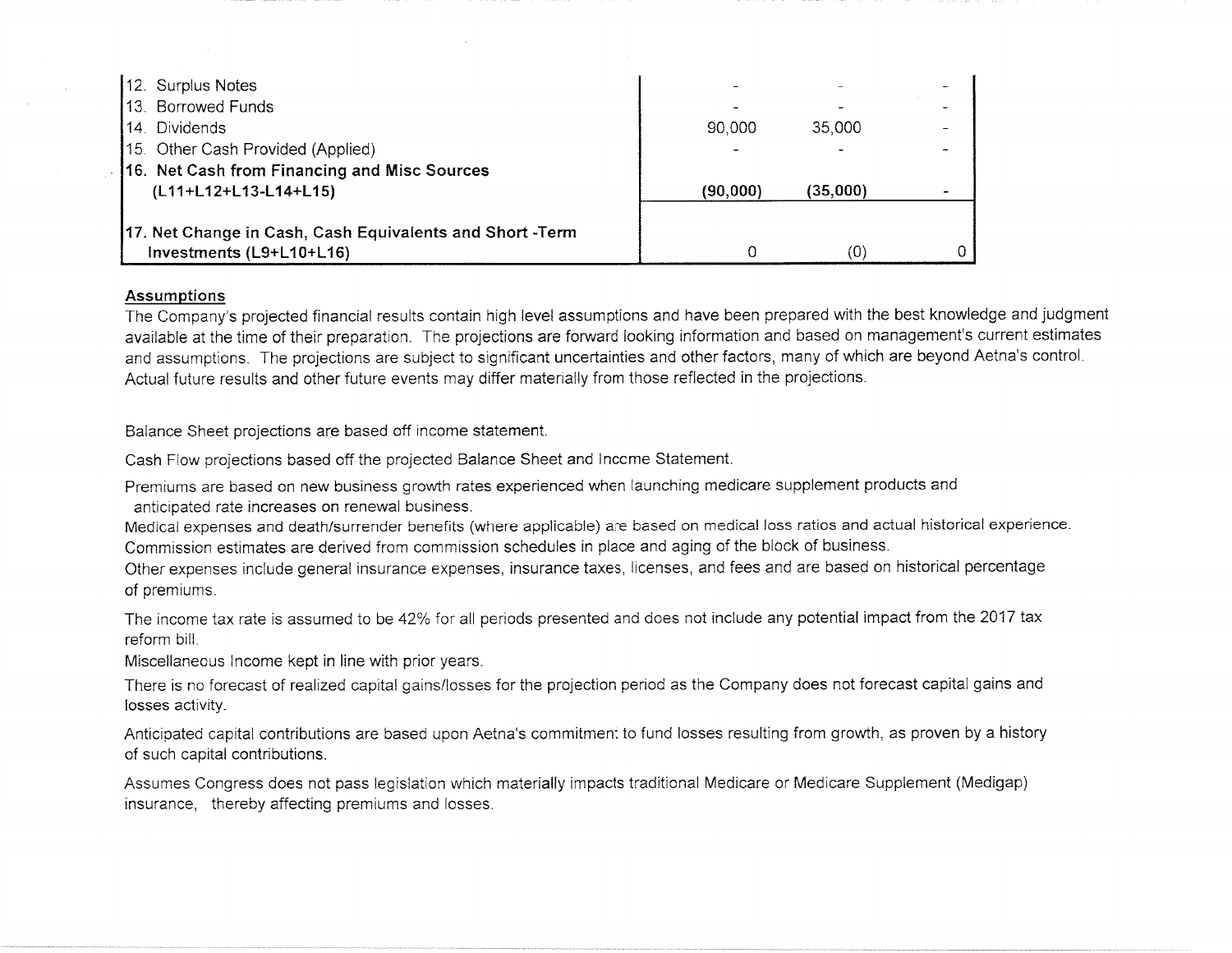| 12. Surplus Notes                                        |          |          |  |
|----------------------------------------------------------|----------|----------|--|
| 13. Borrowed Funds                                       |          |          |  |
| 14. Dividends                                            | 90.000   | 35,000   |  |
| 15. Other Cash Provided (Applied)                        |          |          |  |
| 16. Net Cash from Financing and Misc Sources             |          |          |  |
| (L11+L12+L13-L14+L15)                                    | (90,000) | (35.000) |  |
|                                                          |          |          |  |
| 17. Net Change in Cash, Cash Equivalents and Short -Term |          |          |  |
| Investments (L9+L10+L16)                                 |          | (0)      |  |

The Company's projected financial results contain high level assumptions and have been prepared with the best knowledge and judgment available at the time of their preparation. The projections are forward looking information and based on management's current estimates and assumptions. The projections are subject to significant uncertainties and other factors, many of which are beyond Aetna's control. Actual future results and other future events may differ materially from those reflected in the projections.

Balance Sheet projections are based off income statement.

Cash Flow projections based off the projected Balance Sheet and Income Statement.

Premiums are based on new business growth rates experienced when launching medicare supplement products and anticipated rate increases on renewal business.

Medical expenses and death/surrender benefits (where applicable) are based on medical loss ratios and actual historical experience. Commission estimates are derived from commission schedules in place and aging of the block of business.

Other expenses include general insurance expenses, insurance taxes, licenses, and fees and are based on historical percentage of premiums.

The income tax rate is assumed to be 42% for all periods presented and does not include any potential impact from the 2017 tax reform bill.

Miscellaneous Income kept in line with prior years.

There is no forecast of realized capital gains/losses for the projection period as the Company does not forecast capital gains and losses activity.

Anticipated capital contributions are based upon Aetna's commitment to fund losses resulting from growth, as proven by a history of such capital contributions.

Assumes Congress does not pass legislation which materially impacts traditional Medicare or Medicare Supplement (Medigap) insurance, thereby affecting premiums and losses.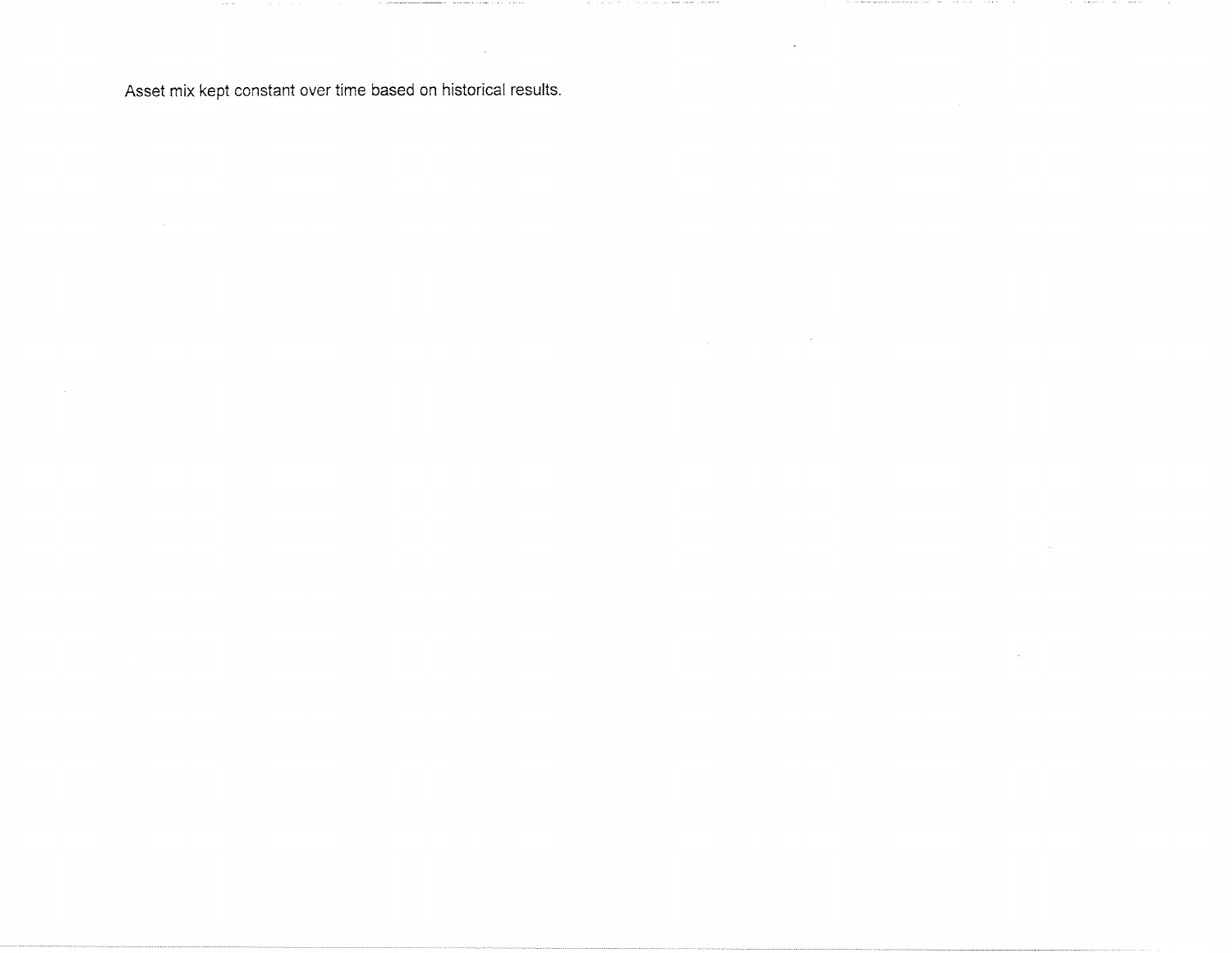Asset mix kept constant over time based on historical results.

 $\mathcal{L}^{\text{max}}_{\text{max}}$ 

 $\label{eq:2.1} \frac{1}{\sqrt{2\pi}}\int_{\mathbb{R}^3}\frac{1}{\sqrt{2\pi}}\int_{\mathbb{R}^3}\frac{1}{\sqrt{2\pi}}\int_{\mathbb{R}^3}\frac{1}{\sqrt{2\pi}}\int_{\mathbb{R}^3}\frac{1}{\sqrt{2\pi}}\int_{\mathbb{R}^3}\frac{1}{\sqrt{2\pi}}\int_{\mathbb{R}^3}\frac{1}{\sqrt{2\pi}}\frac{1}{\sqrt{2\pi}}\int_{\mathbb{R}^3}\frac{1}{\sqrt{2\pi}}\frac{1}{\sqrt{2\pi}}\int_{\mathbb{R}^3}\frac{$ 

 $\sim$  100  $\pm$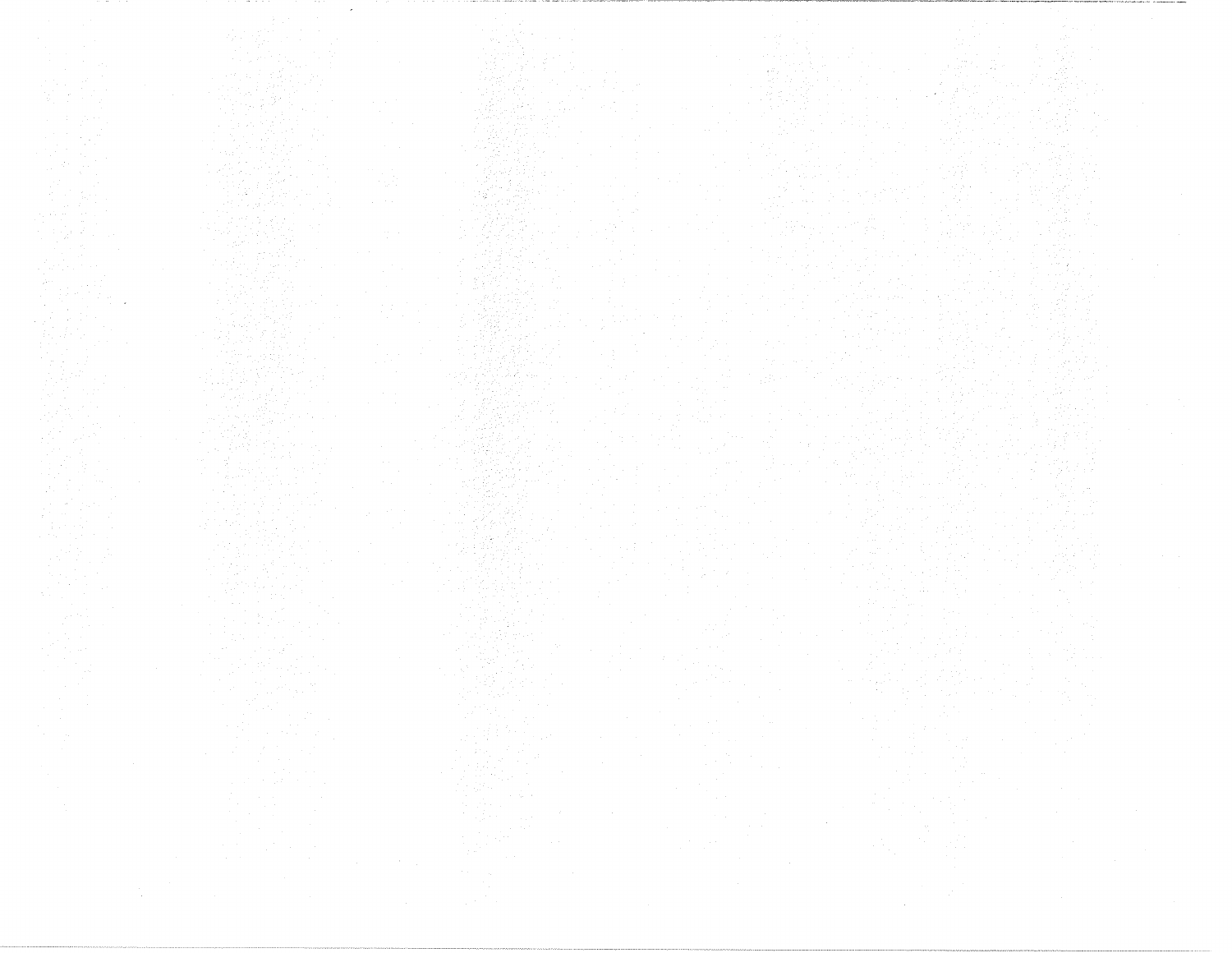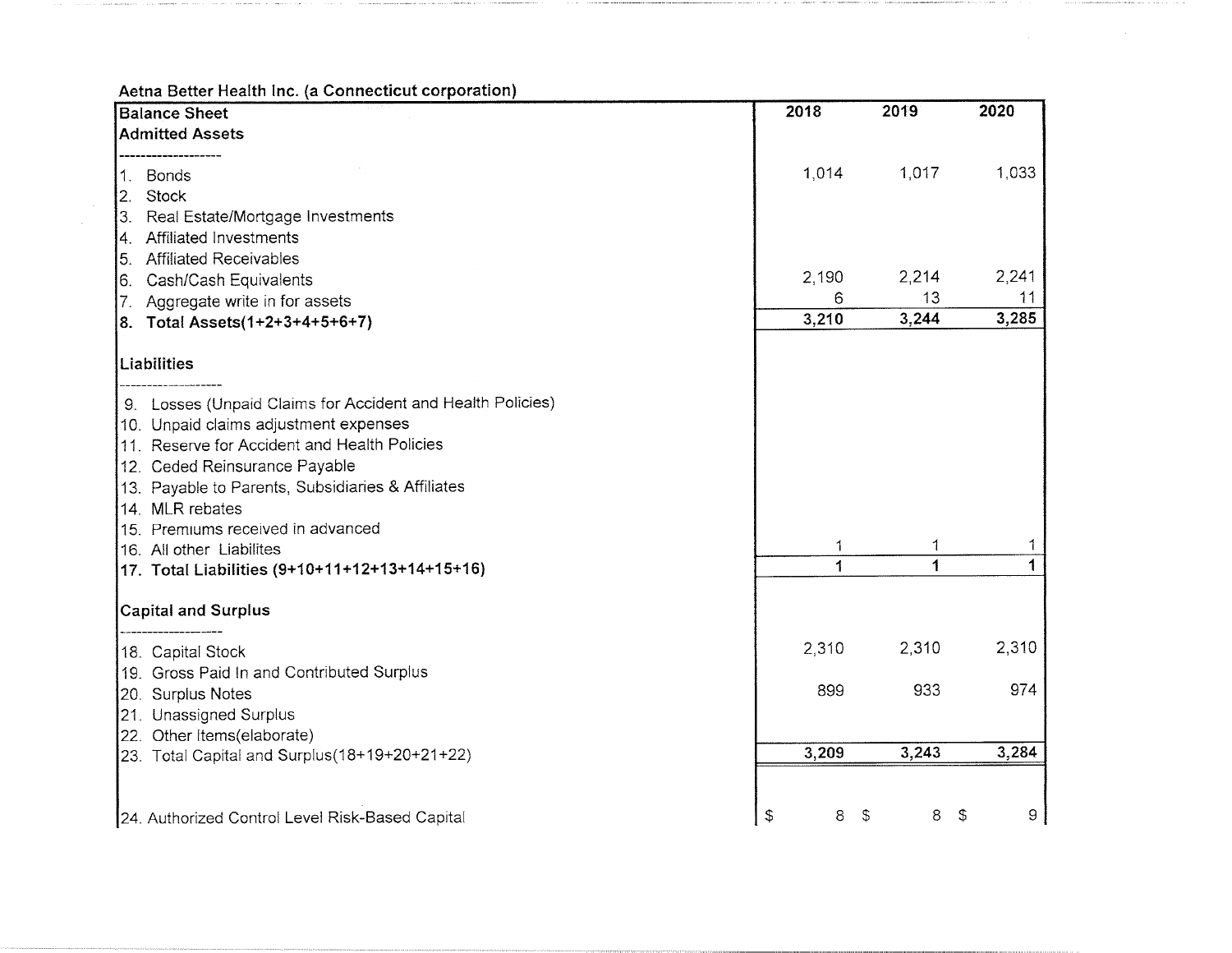| <b>Balance Sheet</b><br><b>Admitted Assets</b>             | 2018    | 2019    | 2020              |
|------------------------------------------------------------|---------|---------|-------------------|
|                                                            |         |         |                   |
| 1. Bonds                                                   | 1,014   | 1,017   | 1,033             |
| Stock<br> 2.                                               |         |         |                   |
| 3. Real Estate/Mortgage Investments                        |         |         |                   |
| 4. Affiliated Investments                                  |         |         |                   |
| 5. Affiliated Receivables                                  |         |         |                   |
| <b>Cash/Cash Equivalents</b><br>16.                        | 2,190   | 2,214   | 2,241             |
| Aggregate write in for assets<br>17.                       | 6       | 13      | 11                |
| 8. Total Assets (1+2+3+4+5+6+7)                            | 3,210   | 3,244   | 3,285             |
| <b>Liabilities</b>                                         |         |         |                   |
| 9. Losses (Unpaid Claims for Accident and Health Policies) |         |         |                   |
| 10. Unpaid claims adjustment expenses                      |         |         |                   |
| 11. Reserve for Accident and Health Policies               |         |         |                   |
| 12. Ceded Reinsurance Payable                              |         |         |                   |
| 13. Payable to Parents, Subsidiaries & Affiliates          |         |         |                   |
| 14. MLR rebates                                            |         |         |                   |
| 15. Premiums received in advanced                          |         |         |                   |
| 16. All other Liabilites                                   | 1<br>1  | 1<br>1  | 1<br>$\mathbf{1}$ |
| 17. Total Liabilities (9+10+11+12+13+14+15+16)             |         |         |                   |
| <b>Capital and Surplus</b>                                 |         |         |                   |
| 18. Capital Stock                                          | 2,310   | 2,310   | 2,310             |
| 19. Gross Paid In and Contributed Surplus                  |         |         |                   |
| 20. Surplus Notes                                          | 899     | 933     | 974               |
| 21. Unassigned Surplus                                     |         |         |                   |
| 22. Other Items(elaborate)                                 |         |         |                   |
| 23. Total Capital and Surplus(18+19+20+21+22)              | 3,209   | 3,243   | 3,284             |
|                                                            | \$<br>8 | 8<br>\$ | 9<br>\$           |
| 24. Authorized Control Level Risk-Based Capital            |         |         |                   |

 $\sim$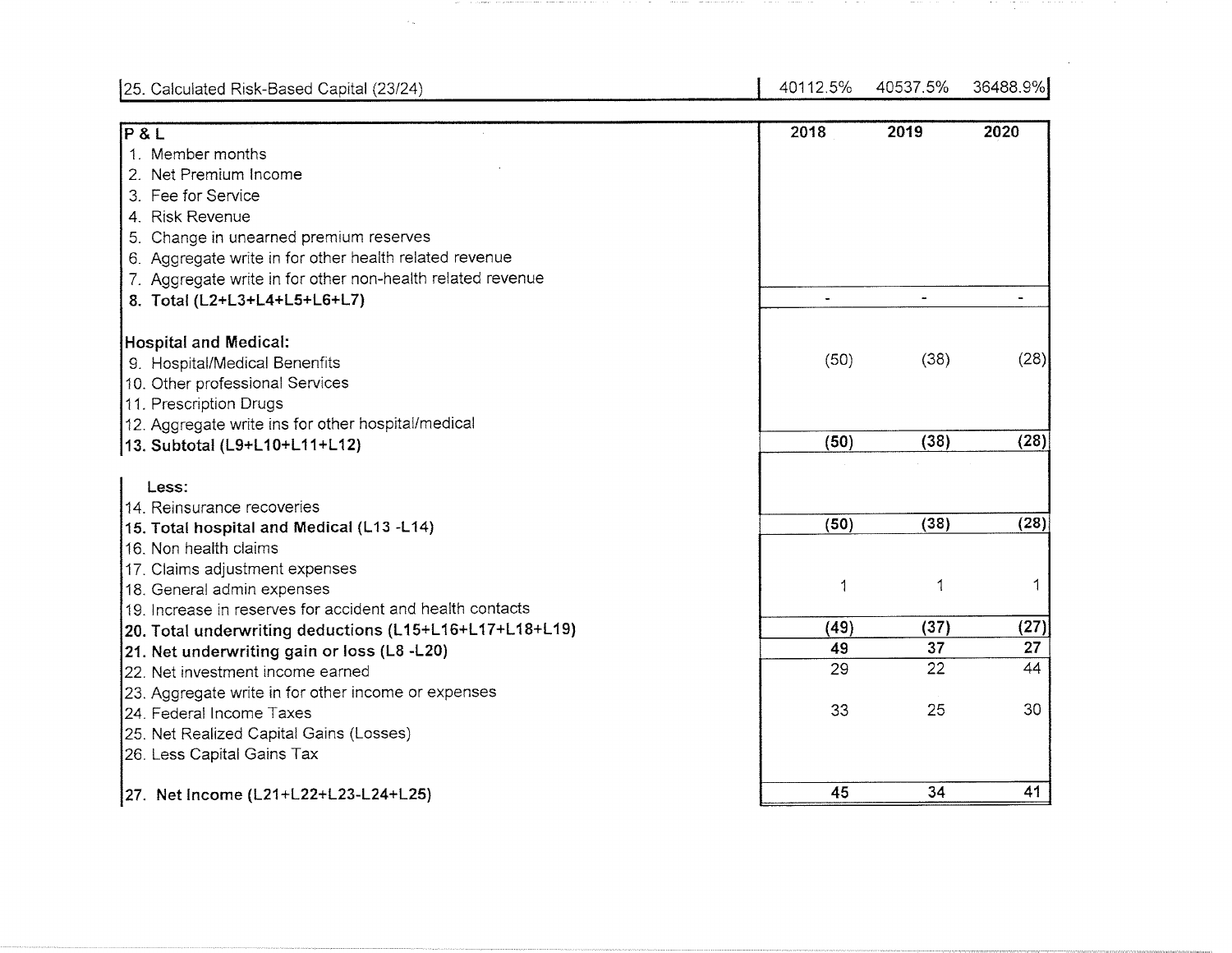25. Calculated Risk-Based Capital (23/24)

 $\sim \omega$ 

inter in the

nnam hanskar er skotst til forskeller i den formaler og statsmenet og statsmenet for statsmenet i forskeller i

| P&L                                                        | 2018 | 2019           | 2020                 |
|------------------------------------------------------------|------|----------------|----------------------|
| 1. Member months                                           |      |                |                      |
| 2. Net Premium Income                                      |      |                |                      |
| 3. Fee for Service                                         |      |                |                      |
| 4. Risk Revenue                                            |      |                |                      |
| 5. Change in unearned premium reserves                     |      |                |                      |
| 6. Aggregate write in for other health related revenue     |      |                |                      |
| 7. Aggregate write in for other non-health related revenue |      |                |                      |
| 8. Total (L2+L3+L4+L5+L6+L7)                               |      | $\blacksquare$ |                      |
| <b>Hospital and Medical:</b>                               |      |                |                      |
| 9. Hospital/Medical Benenfits                              | (50) | (38)           | (28)                 |
| 10. Other professional Services                            |      |                |                      |
| 11. Prescription Drugs                                     |      |                |                      |
| 12. Aggregate write ins for other hospital/medical         |      |                |                      |
| 13. Subtotal (L9+L10+L11+L12)                              | (50) | (38)           | (28)                 |
| Less:                                                      |      |                |                      |
| 14. Reinsurance recoveries                                 |      |                |                      |
| 15. Total hospital and Medical (L13 -L14)                  | (50) | (38)           | (28)                 |
| 16. Non health claims                                      |      |                |                      |
| 17. Claims adjustment expenses                             |      |                |                      |
| 18. General admin expenses                                 | 1    | 1              | $\blacktriangleleft$ |
| 19. Increase in reserves for accident and health contacts  |      |                |                      |
| 20. Total underwriting deductions (L15+L16+L17+L18+L19)    | (49) | (37)           | (27)                 |
| 21. Net underwriting gain or loss (L8 -L20)                | 49   | 37             | 27                   |
| 22. Net investment income earned                           | 29   | 22             | 44                   |
| 23. Aggregate write in for other income or expenses        |      |                |                      |
| 24. Federal Income Taxes                                   | 33   | 25             | 30                   |
| 25. Net Realized Capital Gains (Losses)                    |      |                |                      |
| 26. Less Capital Gains Tax                                 |      |                |                      |
| 27. Net Income (L21+L22+L23-L24+L25)                       | 45   | 34             | 41                   |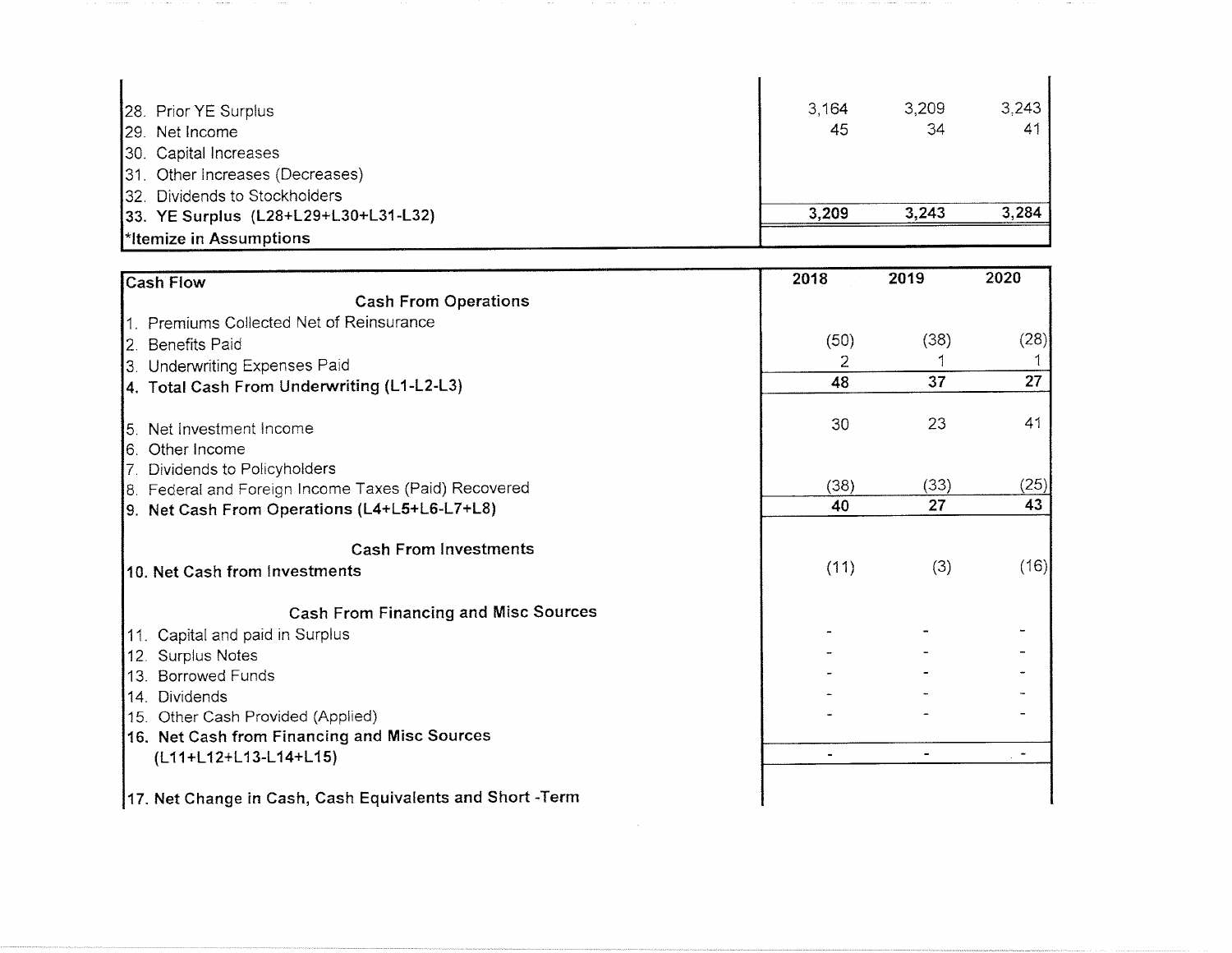| 28. Prior YE Surplus                  | 3,164 | 3.209 | 3.243 |
|---------------------------------------|-------|-------|-------|
| 29. Net Income                        | 45    | 34    | 41    |
| 130. Capital Increases                |       |       |       |
| 31. Other Increases (Decreases)       |       |       |       |
| 132. Dividends to Stockholders        |       |       |       |
| [33. YE Surplus (L28+L29+L30+L31-L32) | 3,209 | 3.243 | 3,284 |
| temize in Assumptions                 |       |       |       |

 $\alpha$  , and the second constant  $\alpha$  , and the second constant  $\alpha$  , and  $\alpha$ 

the company of the company of the company of the company of the company of the company of the company of the company of the company of the company of the company of the company of the company of the company of the company

and the control of

a conservation of the above many conservations and analyzes of the conservation of the conservation of the conservation of the conservation of the conservation of the conservation of the conservation of the conservation of

| <b>Cash Flow</b>                                         | 2018           | 2019 | 2020 |
|----------------------------------------------------------|----------------|------|------|
| <b>Cash From Operations</b>                              |                |      |      |
| 1. Premiums Collected Net of Reinsurance                 |                |      |      |
| 2. Benefits Paid                                         | (50)           | (38) | (28) |
| 3. Underwriting Expenses Paid                            | 2              |      |      |
| 4. Total Cash From Underwriting (L1-L2-L3)               | 48             | 37   | 27   |
| 5. Net Investment Income                                 | 30             | 23   | 41   |
| 6. Other Income                                          |                |      |      |
| 7. Dividends to Policyholders                            |                |      |      |
| 8. Federal and Foreign Income Taxes (Paid) Recovered     | (38)           | (33) | (25) |
| 9. Net Cash From Operations (L4+L5+L6-L7+L8)             | 40             | 27   | 43   |
| <b>Cash From Investments</b>                             |                |      |      |
| 10. Net Cash from Investments                            | (11)           | (3)  | (16) |
| <b>Cash From Financing and Misc Sources</b>              |                |      |      |
| 11. Capital and paid in Surplus                          |                |      |      |
| 12. Surplus Notes                                        |                |      |      |
| 13. Borrowed Funds                                       |                |      |      |
| 14. Dividends                                            |                |      |      |
| 15. Other Cash Provided (Applied)                        |                |      |      |
| 16. Net Cash from Financing and Misc Sources             |                |      |      |
| (L11+L12+L13-L14+L15)                                    | $\blacksquare$ |      |      |
| 17. Net Change in Cash, Cash Equivalents and Short -Term |                |      |      |